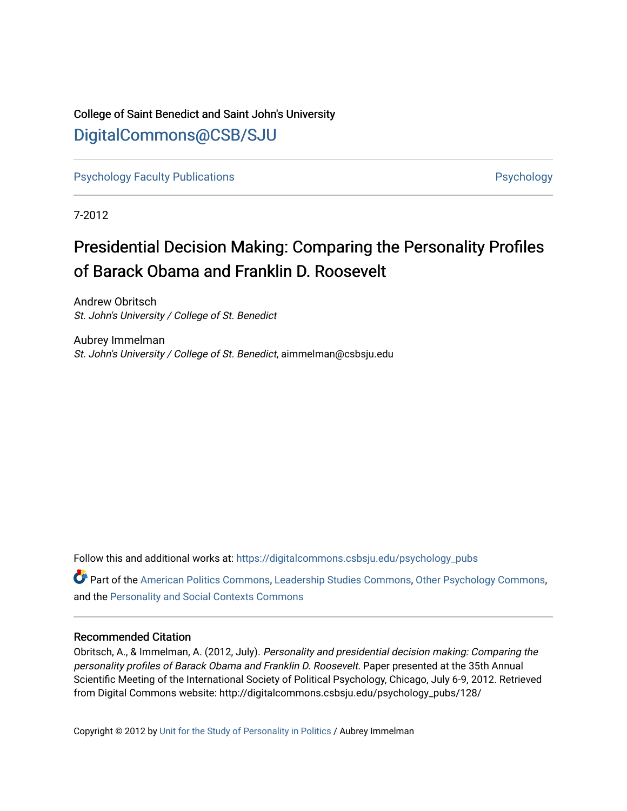# College of Saint Benedict and Saint John's University [DigitalCommons@CSB/SJU](https://digitalcommons.csbsju.edu/)

[Psychology Faculty Publications](https://digitalcommons.csbsju.edu/psychology_pubs) **Provides** [Psychology](https://digitalcommons.csbsju.edu/psychology) **Psychology** 

7-2012

# Presidential Decision Making: Comparing the Personality Profiles of Barack Obama and Franklin D. Roosevelt

Andrew Obritsch St. John's University / College of St. Benedict

Aubrey Immelman St. John's University / College of St. Benedict, aimmelman@csbsju.edu

Follow this and additional works at: [https://digitalcommons.csbsju.edu/psychology\\_pubs](https://digitalcommons.csbsju.edu/psychology_pubs?utm_source=digitalcommons.csbsju.edu%2Fpsychology_pubs%2F128&utm_medium=PDF&utm_campaign=PDFCoverPages) 

Part of the [American Politics Commons,](http://network.bepress.com/hgg/discipline/387?utm_source=digitalcommons.csbsju.edu%2Fpsychology_pubs%2F128&utm_medium=PDF&utm_campaign=PDFCoverPages) [Leadership Studies Commons,](http://network.bepress.com/hgg/discipline/1250?utm_source=digitalcommons.csbsju.edu%2Fpsychology_pubs%2F128&utm_medium=PDF&utm_campaign=PDFCoverPages) [Other Psychology Commons,](http://network.bepress.com/hgg/discipline/415?utm_source=digitalcommons.csbsju.edu%2Fpsychology_pubs%2F128&utm_medium=PDF&utm_campaign=PDFCoverPages) and the [Personality and Social Contexts Commons](http://network.bepress.com/hgg/discipline/413?utm_source=digitalcommons.csbsju.edu%2Fpsychology_pubs%2F128&utm_medium=PDF&utm_campaign=PDFCoverPages) 

#### Recommended Citation

Obritsch, A., & Immelman, A. (2012, July). Personality and presidential decision making: Comparing the personality profiles of Barack Obama and Franklin D. Roosevelt. Paper presented at the 35th Annual Scientific Meeting of the International Society of Political Psychology, Chicago, July 6-9, 2012. Retrieved from Digital Commons website: http://digitalcommons.csbsju.edu/psychology\_pubs/128/

Copyright © 2012 by [Unit for the Study of Personality in Politics](http://personality-politics.org/) / Aubrey Immelman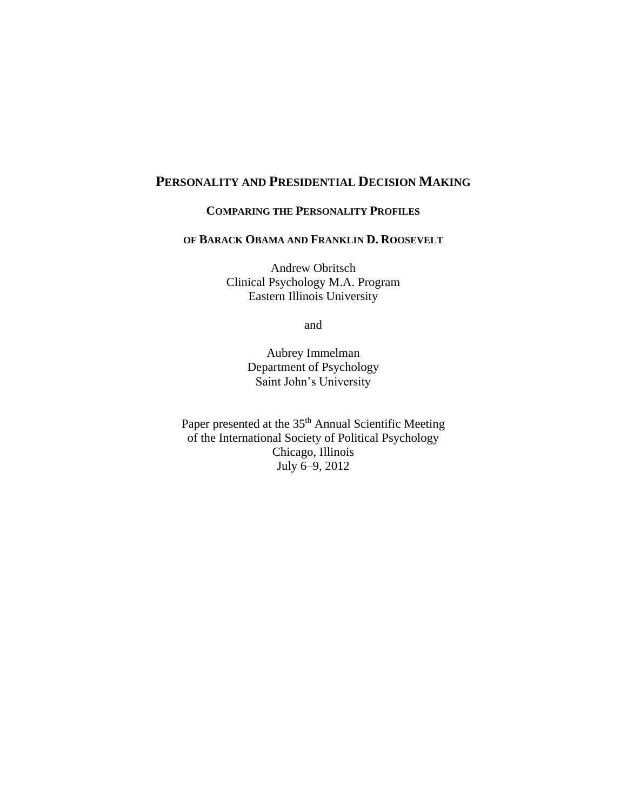## **PERSONALITY AND PRESIDENTIAL DECISION MAKING**

#### **COMPARING THE PERSONALITY PROFILES**

#### **OF BARACK OBAMA AND FRANKLIN D. ROOSEVELT**

Andrew Obritsch Clinical Psychology M.A. Program Eastern Illinois University

and

Aubrey Immelman Department of Psychology Saint John's University

Paper presented at the 35<sup>th</sup> Annual Scientific Meeting of the International Society of Political Psychology Chicago, Illinois July 6–9, 2012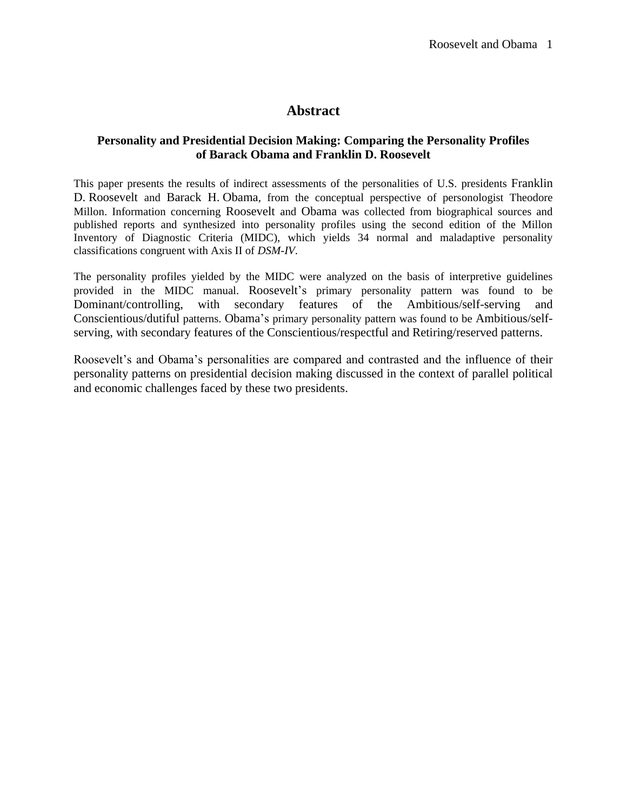## **Abstract**

## **Personality and Presidential Decision Making: Comparing the Personality Profiles of Barack Obama and Franklin D. Roosevelt**

This paper presents the results of indirect assessments of the personalities of U.S. presidents Franklin D. Roosevelt and Barack H. Obama, from the conceptual perspective of personologist Theodore Millon. Information concerning Roosevelt and Obama was collected from biographical sources and published reports and synthesized into personality profiles using the second edition of the Millon Inventory of Diagnostic Criteria (MIDC), which yields 34 normal and maladaptive personality classifications congruent with Axis II of *DSM-IV*.

The personality profiles yielded by the MIDC were analyzed on the basis of interpretive guidelines provided in the MIDC manual. Roosevelt's primary personality pattern was found to be Dominant/controlling, with secondary features of the Ambitious/self-serving and Conscientious/dutiful patterns. Obama's primary personality pattern was found to be Ambitious/selfserving, with secondary features of the Conscientious/respectful and Retiring/reserved patterns.

Roosevelt's and Obama's personalities are compared and contrasted and the influence of their personality patterns on presidential decision making discussed in the context of parallel political and economic challenges faced by these two presidents.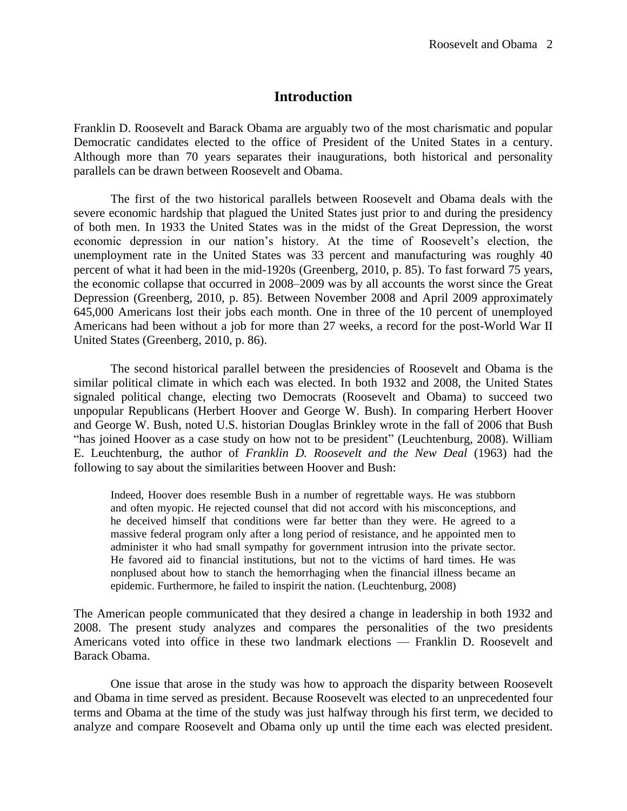## **Introduction**

Franklin D. Roosevelt and Barack Obama are arguably two of the most charismatic and popular Democratic candidates elected to the office of President of the United States in a century. Although more than 70 years separates their inaugurations, both historical and personality parallels can be drawn between Roosevelt and Obama.

The first of the two historical parallels between Roosevelt and Obama deals with the severe economic hardship that plagued the United States just prior to and during the presidency of both men. In 1933 the United States was in the midst of the Great Depression, the worst economic depression in our nation's history. At the time of Roosevelt's election, the unemployment rate in the United States was 33 percent and manufacturing was roughly 40 percent of what it had been in the mid-1920s (Greenberg, 2010, p. 85). To fast forward 75 years, the economic collapse that occurred in 2008–2009 was by all accounts the worst since the Great Depression (Greenberg, 2010, p. 85). Between November 2008 and April 2009 approximately 645,000 Americans lost their jobs each month. One in three of the 10 percent of unemployed Americans had been without a job for more than 27 weeks, a record for the post-World War II United States (Greenberg, 2010, p. 86).

The second historical parallel between the presidencies of Roosevelt and Obama is the similar political climate in which each was elected. In both 1932 and 2008, the United States signaled political change, electing two Democrats (Roosevelt and Obama) to succeed two unpopular Republicans (Herbert Hoover and George W. Bush). In comparing Herbert Hoover and George W. Bush, noted U.S. historian Douglas Brinkley wrote in the fall of 2006 that Bush "has joined Hoover as a case study on how not to be president" (Leuchtenburg, 2008). William E. Leuchtenburg, the author of *Franklin D. Roosevelt and the New Deal* (1963) had the following to say about the similarities between Hoover and Bush:

Indeed, Hoover does resemble Bush in a number of regrettable ways. He was stubborn and often myopic. He rejected counsel that did not accord with his misconceptions, and he deceived himself that conditions were far better than they were. He agreed to a massive federal program only after a long period of resistance, and he appointed men to administer it who had small sympathy for government intrusion into the private sector. He favored aid to financial institutions, but not to the victims of hard times. He was nonplused about how to stanch the hemorrhaging when the financial illness became an epidemic. Furthermore, he failed to inspirit the nation. (Leuchtenburg, 2008)

The American people communicated that they desired a change in leadership in both 1932 and 2008. The present study analyzes and compares the personalities of the two presidents Americans voted into office in these two landmark elections — Franklin D. Roosevelt and Barack Obama.

One issue that arose in the study was how to approach the disparity between Roosevelt and Obama in time served as president. Because Roosevelt was elected to an unprecedented four terms and Obama at the time of the study was just halfway through his first term, we decided to analyze and compare Roosevelt and Obama only up until the time each was elected president.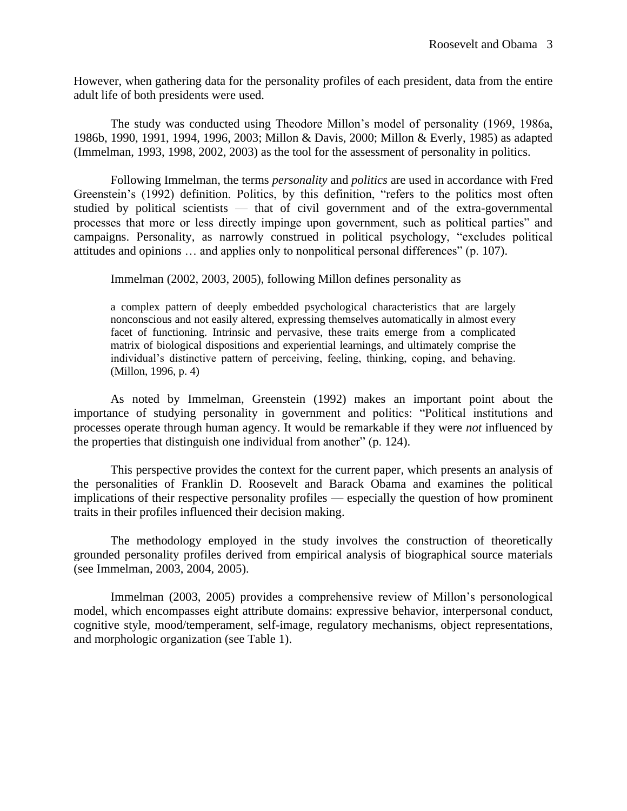However, when gathering data for the personality profiles of each president, data from the entire adult life of both presidents were used.

The study was conducted using Theodore Millon's model of personality (1969, 1986a, 1986b, 1990, 1991, 1994, 1996, 2003; Millon & Davis, 2000; Millon & Everly, 1985) as adapted (Immelman, 1993, 1998, 2002, 2003) as the tool for the assessment of personality in politics.

Following Immelman, the terms *personality* and *politics* are used in accordance with Fred Greenstein's (1992) definition. Politics, by this definition, "refers to the politics most often studied by political scientists — that of civil government and of the extra-governmental processes that more or less directly impinge upon government, such as political parties" and campaigns. Personality, as narrowly construed in political psychology, "excludes political attitudes and opinions … and applies only to nonpolitical personal differences" (p. 107).

Immelman (2002, 2003, 2005), following Millon defines personality as

a complex pattern of deeply embedded psychological characteristics that are largely nonconscious and not easily altered, expressing themselves automatically in almost every facet of functioning. Intrinsic and pervasive, these traits emerge from a complicated matrix of biological dispositions and experiential learnings, and ultimately comprise the individual's distinctive pattern of perceiving, feeling, thinking, coping, and behaving. (Millon, 1996, p. 4)

As noted by Immelman, Greenstein (1992) makes an important point about the importance of studying personality in government and politics: "Political institutions and processes operate through human agency. It would be remarkable if they were *not* influenced by the properties that distinguish one individual from another" (p. 124).

This perspective provides the context for the current paper, which presents an analysis of the personalities of Franklin D. Roosevelt and Barack Obama and examines the political implications of their respective personality profiles — especially the question of how prominent traits in their profiles influenced their decision making.

The methodology employed in the study involves the construction of theoretically grounded personality profiles derived from empirical analysis of biographical source materials (see Immelman, 2003, 2004, 2005).

Immelman (2003, 2005) provides a comprehensive review of Millon's personological model, which encompasses eight attribute domains: expressive behavior, interpersonal conduct, cognitive style, mood/temperament, self-image, regulatory mechanisms, object representations, and morphologic organization (see Table 1).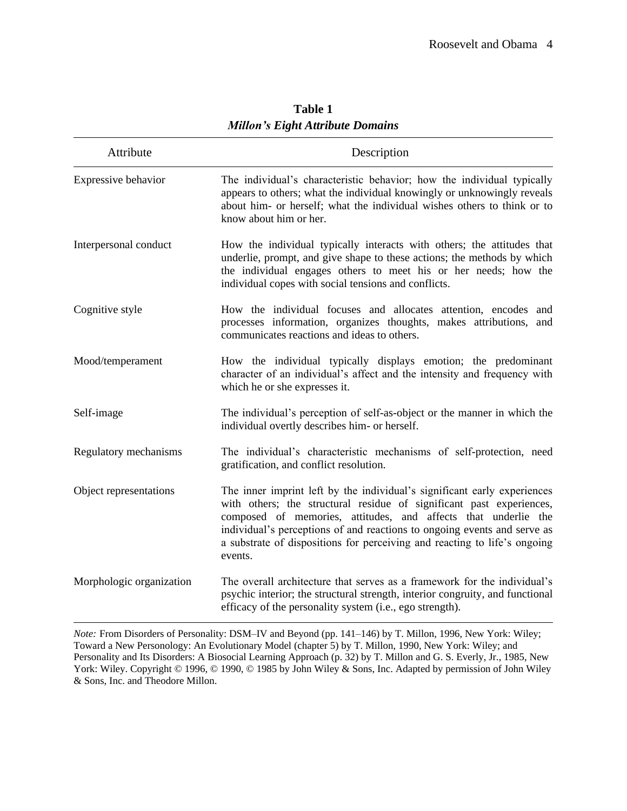| Attribute                | Description                                                                                                                                                                                                                                                                                                                                                                            |  |  |  |
|--------------------------|----------------------------------------------------------------------------------------------------------------------------------------------------------------------------------------------------------------------------------------------------------------------------------------------------------------------------------------------------------------------------------------|--|--|--|
| Expressive behavior      | The individual's characteristic behavior; how the individual typically<br>appears to others; what the individual knowingly or unknowingly reveals<br>about him- or herself; what the individual wishes others to think or to<br>know about him or her.                                                                                                                                 |  |  |  |
| Interpersonal conduct    | How the individual typically interacts with others; the attitudes that<br>underlie, prompt, and give shape to these actions; the methods by which<br>the individual engages others to meet his or her needs; how the<br>individual copes with social tensions and conflicts.                                                                                                           |  |  |  |
| Cognitive style          | How the individual focuses and allocates attention, encodes and<br>processes information, organizes thoughts, makes attributions,<br>and<br>communicates reactions and ideas to others.                                                                                                                                                                                                |  |  |  |
| Mood/temperament         | How the individual typically displays emotion; the predominant<br>character of an individual's affect and the intensity and frequency with<br>which he or she expresses it.                                                                                                                                                                                                            |  |  |  |
| Self-image               | The individual's perception of self-as-object or the manner in which the<br>individual overtly describes him- or herself.                                                                                                                                                                                                                                                              |  |  |  |
| Regulatory mechanisms    | The individual's characteristic mechanisms of self-protection, need<br>gratification, and conflict resolution.                                                                                                                                                                                                                                                                         |  |  |  |
| Object representations   | The inner imprint left by the individual's significant early experiences<br>with others; the structural residue of significant past experiences,<br>composed of memories, attitudes, and affects that underlie the<br>individual's perceptions of and reactions to ongoing events and serve as<br>a substrate of dispositions for perceiving and reacting to life's ongoing<br>events. |  |  |  |
| Morphologic organization | The overall architecture that serves as a framework for the individual's<br>psychic interior; the structural strength, interior congruity, and functional<br>efficacy of the personality system (i.e., ego strength).                                                                                                                                                                  |  |  |  |

**Table 1** *Millon's Eight Attribute Domains*

*Note:* From Disorders of Personality: DSM–IV and Beyond (pp. 141–146) by T. Millon, 1996, New York: Wiley; Toward a New Personology: An Evolutionary Model (chapter 5) by T. Millon, 1990, New York: Wiley; and Personality and Its Disorders: A Biosocial Learning Approach (p. 32) by T. Millon and G. S. Everly, Jr., 1985, New York: Wiley. Copyright © 1996, © 1990, © 1985 by John Wiley & Sons, Inc. Adapted by permission of John Wiley & Sons, Inc. and Theodore Millon.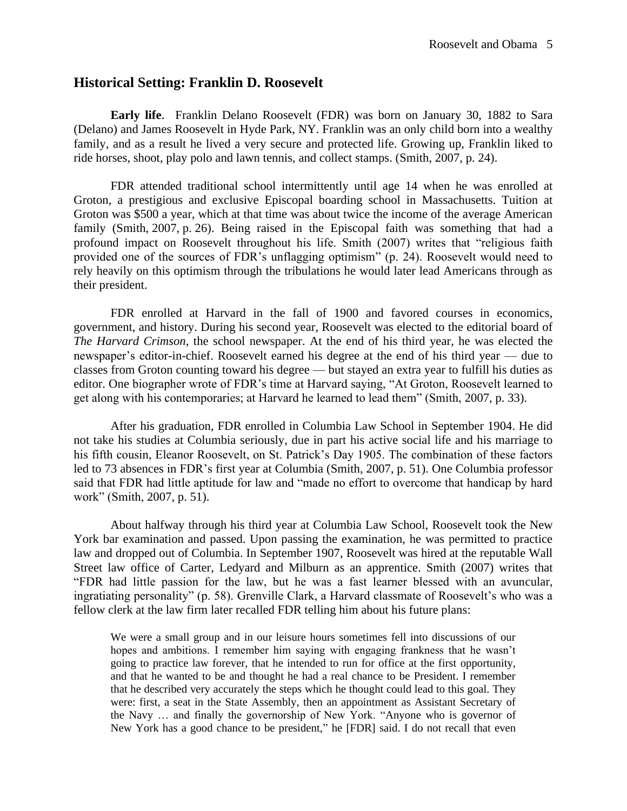## **Historical Setting: Franklin D. Roosevelt**

**Early life**. Franklin Delano Roosevelt (FDR) was born on January 30, 1882 to Sara (Delano) and James Roosevelt in Hyde Park, NY. Franklin was an only child born into a wealthy family, and as a result he lived a very secure and protected life. Growing up, Franklin liked to ride horses, shoot, play polo and lawn tennis, and collect stamps. (Smith, 2007, p. 24).

FDR attended traditional school intermittently until age 14 when he was enrolled at Groton, a prestigious and exclusive Episcopal boarding school in Massachusetts. Tuition at Groton was \$500 a year, which at that time was about twice the income of the average American family (Smith, 2007, p. 26). Being raised in the Episcopal faith was something that had a profound impact on Roosevelt throughout his life. Smith (2007) writes that "religious faith provided one of the sources of FDR's unflagging optimism" (p. 24). Roosevelt would need to rely heavily on this optimism through the tribulations he would later lead Americans through as their president.

FDR enrolled at Harvard in the fall of 1900 and favored courses in economics, government, and history. During his second year, Roosevelt was elected to the editorial board of *The Harvard Crimson*, the school newspaper. At the end of his third year, he was elected the newspaper's editor-in-chief. Roosevelt earned his degree at the end of his third year — due to classes from Groton counting toward his degree — but stayed an extra year to fulfill his duties as editor. One biographer wrote of FDR's time at Harvard saying, "At Groton, Roosevelt learned to get along with his contemporaries; at Harvard he learned to lead them" (Smith, 2007, p. 33).

After his graduation, FDR enrolled in Columbia Law School in September 1904. He did not take his studies at Columbia seriously, due in part his active social life and his marriage to his fifth cousin, Eleanor Roosevelt, on St. Patrick's Day 1905. The combination of these factors led to 73 absences in FDR's first year at Columbia (Smith, 2007, p. 51). One Columbia professor said that FDR had little aptitude for law and "made no effort to overcome that handicap by hard work" (Smith, 2007, p. 51).

About halfway through his third year at Columbia Law School, Roosevelt took the New York bar examination and passed. Upon passing the examination, he was permitted to practice law and dropped out of Columbia. In September 1907, Roosevelt was hired at the reputable Wall Street law office of Carter, Ledyard and Milburn as an apprentice. Smith (2007) writes that "FDR had little passion for the law, but he was a fast learner blessed with an avuncular, ingratiating personality" (p. 58). Grenville Clark, a Harvard classmate of Roosevelt's who was a fellow clerk at the law firm later recalled FDR telling him about his future plans:

We were a small group and in our leisure hours sometimes fell into discussions of our hopes and ambitions. I remember him saying with engaging frankness that he wasn't going to practice law forever, that he intended to run for office at the first opportunity, and that he wanted to be and thought he had a real chance to be President. I remember that he described very accurately the steps which he thought could lead to this goal. They were: first, a seat in the State Assembly, then an appointment as Assistant Secretary of the Navy … and finally the governorship of New York. "Anyone who is governor of New York has a good chance to be president," he [FDR] said. I do not recall that even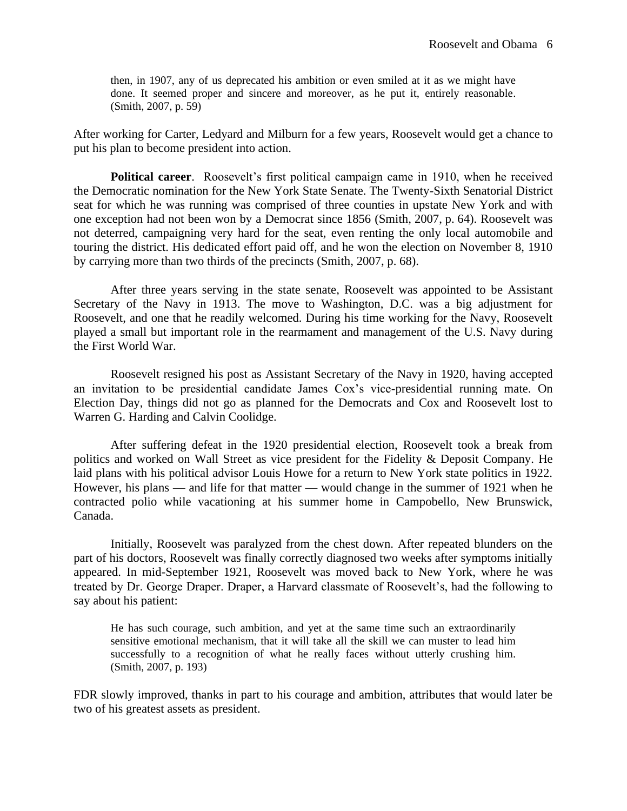then, in 1907, any of us deprecated his ambition or even smiled at it as we might have done. It seemed proper and sincere and moreover, as he put it, entirely reasonable. (Smith, 2007, p. 59)

After working for Carter, Ledyard and Milburn for a few years, Roosevelt would get a chance to put his plan to become president into action.

**Political career**. Roosevelt's first political campaign came in 1910, when he received the Democratic nomination for the New York State Senate. The Twenty-Sixth Senatorial District seat for which he was running was comprised of three counties in upstate New York and with one exception had not been won by a Democrat since 1856 (Smith, 2007, p. 64). Roosevelt was not deterred, campaigning very hard for the seat, even renting the only local automobile and touring the district. His dedicated effort paid off, and he won the election on November 8, 1910 by carrying more than two thirds of the precincts (Smith, 2007, p. 68).

After three years serving in the state senate, Roosevelt was appointed to be Assistant Secretary of the Navy in 1913. The move to Washington, D.C. was a big adjustment for Roosevelt, and one that he readily welcomed. During his time working for the Navy, Roosevelt played a small but important role in the rearmament and management of the U.S. Navy during the First World War.

Roosevelt resigned his post as Assistant Secretary of the Navy in 1920, having accepted an invitation to be presidential candidate James Cox's vice-presidential running mate. On Election Day, things did not go as planned for the Democrats and Cox and Roosevelt lost to Warren G. Harding and Calvin Coolidge.

After suffering defeat in the 1920 presidential election, Roosevelt took a break from politics and worked on Wall Street as vice president for the Fidelity & Deposit Company. He laid plans with his political advisor Louis Howe for a return to New York state politics in 1922. However, his plans — and life for that matter — would change in the summer of 1921 when he contracted polio while vacationing at his summer home in Campobello, New Brunswick, Canada.

Initially, Roosevelt was paralyzed from the chest down. After repeated blunders on the part of his doctors, Roosevelt was finally correctly diagnosed two weeks after symptoms initially appeared. In mid-September 1921, Roosevelt was moved back to New York, where he was treated by Dr. George Draper. Draper, a Harvard classmate of Roosevelt's, had the following to say about his patient:

He has such courage, such ambition, and yet at the same time such an extraordinarily sensitive emotional mechanism, that it will take all the skill we can muster to lead him successfully to a recognition of what he really faces without utterly crushing him. (Smith, 2007, p. 193)

FDR slowly improved, thanks in part to his courage and ambition, attributes that would later be two of his greatest assets as president.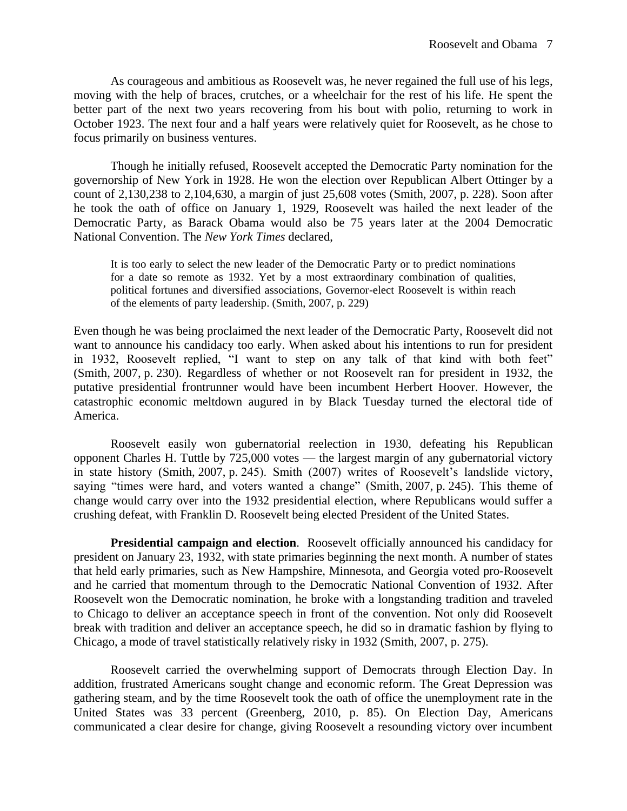As courageous and ambitious as Roosevelt was, he never regained the full use of his legs, moving with the help of braces, crutches, or a wheelchair for the rest of his life. He spent the better part of the next two years recovering from his bout with polio, returning to work in October 1923. The next four and a half years were relatively quiet for Roosevelt, as he chose to focus primarily on business ventures.

Though he initially refused, Roosevelt accepted the Democratic Party nomination for the governorship of New York in 1928. He won the election over Republican Albert Ottinger by a count of 2,130,238 to 2,104,630, a margin of just 25,608 votes (Smith, 2007, p. 228). Soon after he took the oath of office on January 1, 1929, Roosevelt was hailed the next leader of the Democratic Party, as Barack Obama would also be 75 years later at the 2004 Democratic National Convention. The *New York Times* declared,

It is too early to select the new leader of the Democratic Party or to predict nominations for a date so remote as 1932. Yet by a most extraordinary combination of qualities, political fortunes and diversified associations, Governor-elect Roosevelt is within reach of the elements of party leadership. (Smith, 2007, p. 229)

Even though he was being proclaimed the next leader of the Democratic Party, Roosevelt did not want to announce his candidacy too early. When asked about his intentions to run for president in 1932, Roosevelt replied, "I want to step on any talk of that kind with both feet" (Smith, 2007, p. 230). Regardless of whether or not Roosevelt ran for president in 1932, the putative presidential frontrunner would have been incumbent Herbert Hoover. However, the catastrophic economic meltdown augured in by Black Tuesday turned the electoral tide of America.

Roosevelt easily won gubernatorial reelection in 1930, defeating his Republican opponent Charles H. Tuttle by 725,000 votes — the largest margin of any gubernatorial victory in state history (Smith, 2007, p. 245). Smith (2007) writes of Roosevelt's landslide victory, saying "times were hard, and voters wanted a change" (Smith, 2007, p. 245). This theme of change would carry over into the 1932 presidential election, where Republicans would suffer a crushing defeat, with Franklin D. Roosevelt being elected President of the United States.

**Presidential campaign and election**. Roosevelt officially announced his candidacy for president on January 23, 1932, with state primaries beginning the next month. A number of states that held early primaries, such as New Hampshire, Minnesota, and Georgia voted pro-Roosevelt and he carried that momentum through to the Democratic National Convention of 1932. After Roosevelt won the Democratic nomination, he broke with a longstanding tradition and traveled to Chicago to deliver an acceptance speech in front of the convention. Not only did Roosevelt break with tradition and deliver an acceptance speech, he did so in dramatic fashion by flying to Chicago, a mode of travel statistically relatively risky in 1932 (Smith, 2007, p. 275).

Roosevelt carried the overwhelming support of Democrats through Election Day. In addition, frustrated Americans sought change and economic reform. The Great Depression was gathering steam, and by the time Roosevelt took the oath of office the unemployment rate in the United States was 33 percent (Greenberg, 2010, p. 85). On Election Day, Americans communicated a clear desire for change, giving Roosevelt a resounding victory over incumbent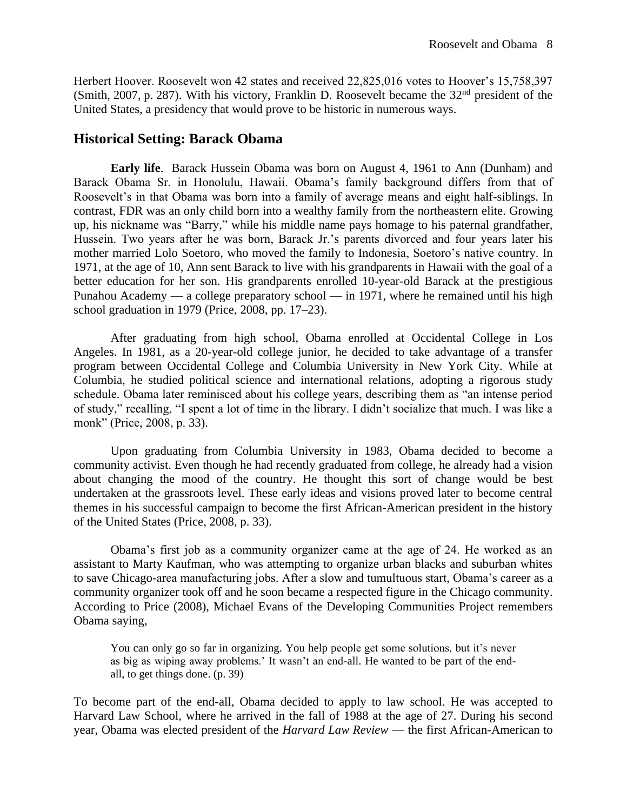Herbert Hoover. Roosevelt won 42 states and received 22,825,016 votes to Hoover's 15,758,397 (Smith, 2007, p. 287). With his victory, Franklin D. Roosevelt became the  $32<sup>nd</sup>$  president of the United States, a presidency that would prove to be historic in numerous ways.

## **Historical Setting: Barack Obama**

**Early life**. Barack Hussein Obama was born on August 4, 1961 to Ann (Dunham) and Barack Obama Sr. in Honolulu, Hawaii. Obama's family background differs from that of Roosevelt's in that Obama was born into a family of average means and eight half-siblings. In contrast, FDR was an only child born into a wealthy family from the northeastern elite. Growing up, his nickname was "Barry," while his middle name pays homage to his paternal grandfather, Hussein. Two years after he was born, Barack Jr.'s parents divorced and four years later his mother married Lolo Soetoro, who moved the family to Indonesia, Soetoro's native country. In 1971, at the age of 10, Ann sent Barack to live with his grandparents in Hawaii with the goal of a better education for her son. His grandparents enrolled 10-year-old Barack at the prestigious Punahou Academy — a college preparatory school — in 1971, where he remained until his high school graduation in 1979 (Price, 2008, pp. 17–23).

After graduating from high school, Obama enrolled at Occidental College in Los Angeles. In 1981, as a 20-year-old college junior, he decided to take advantage of a transfer program between Occidental College and Columbia University in New York City. While at Columbia, he studied political science and international relations, adopting a rigorous study schedule. Obama later reminisced about his college years, describing them as "an intense period of study," recalling, "I spent a lot of time in the library. I didn't socialize that much. I was like a monk" (Price, 2008, p. 33).

Upon graduating from Columbia University in 1983, Obama decided to become a community activist. Even though he had recently graduated from college, he already had a vision about changing the mood of the country. He thought this sort of change would be best undertaken at the grassroots level. These early ideas and visions proved later to become central themes in his successful campaign to become the first African-American president in the history of the United States (Price, 2008, p. 33).

Obama's first job as a community organizer came at the age of 24. He worked as an assistant to Marty Kaufman, who was attempting to organize urban blacks and suburban whites to save Chicago-area manufacturing jobs. After a slow and tumultuous start, Obama's career as a community organizer took off and he soon became a respected figure in the Chicago community. According to Price (2008), Michael Evans of the Developing Communities Project remembers Obama saying,

You can only go so far in organizing. You help people get some solutions, but it's never as big as wiping away problems.' It wasn't an end-all. He wanted to be part of the endall, to get things done. (p. 39)

To become part of the end-all, Obama decided to apply to law school. He was accepted to Harvard Law School, where he arrived in the fall of 1988 at the age of 27. During his second year, Obama was elected president of the *Harvard Law Review* — the first African-American to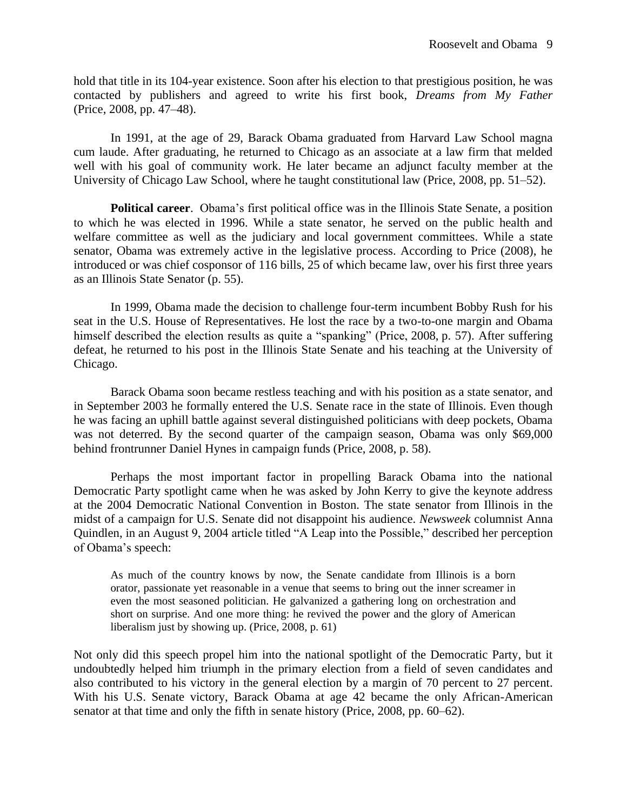hold that title in its 104-year existence. Soon after his election to that prestigious position, he was contacted by publishers and agreed to write his first book, *Dreams from My Father* (Price, 2008, pp. 47–48).

In 1991, at the age of 29, Barack Obama graduated from Harvard Law School magna cum laude. After graduating, he returned to Chicago as an associate at a law firm that melded well with his goal of community work. He later became an adjunct faculty member at the University of Chicago Law School, where he taught constitutional law (Price, 2008, pp. 51–52).

**Political career**. Obama's first political office was in the Illinois State Senate, a position to which he was elected in 1996. While a state senator, he served on the public health and welfare committee as well as the judiciary and local government committees. While a state senator, Obama was extremely active in the legislative process. According to Price (2008), he introduced or was chief cosponsor of 116 bills, 25 of which became law, over his first three years as an Illinois State Senator (p. 55).

In 1999, Obama made the decision to challenge four-term incumbent Bobby Rush for his seat in the U.S. House of Representatives. He lost the race by a two-to-one margin and Obama himself described the election results as quite a "spanking" (Price, 2008, p. 57). After suffering defeat, he returned to his post in the Illinois State Senate and his teaching at the University of Chicago.

Barack Obama soon became restless teaching and with his position as a state senator, and in September 2003 he formally entered the U.S. Senate race in the state of Illinois. Even though he was facing an uphill battle against several distinguished politicians with deep pockets, Obama was not deterred. By the second quarter of the campaign season, Obama was only \$69,000 behind frontrunner Daniel Hynes in campaign funds (Price, 2008, p. 58).

Perhaps the most important factor in propelling Barack Obama into the national Democratic Party spotlight came when he was asked by John Kerry to give the keynote address at the 2004 Democratic National Convention in Boston. The state senator from Illinois in the midst of a campaign for U.S. Senate did not disappoint his audience. *Newsweek* columnist Anna Quindlen, in an August 9, 2004 article titled "A Leap into the Possible," described her perception of Obama's speech:

As much of the country knows by now, the Senate candidate from Illinois is a born orator, passionate yet reasonable in a venue that seems to bring out the inner screamer in even the most seasoned politician. He galvanized a gathering long on orchestration and short on surprise. And one more thing: he revived the power and the glory of American liberalism just by showing up. (Price, 2008, p. 61)

Not only did this speech propel him into the national spotlight of the Democratic Party, but it undoubtedly helped him triumph in the primary election from a field of seven candidates and also contributed to his victory in the general election by a margin of 70 percent to 27 percent. With his U.S. Senate victory, Barack Obama at age 42 became the only African-American senator at that time and only the fifth in senate history (Price, 2008, pp. 60–62).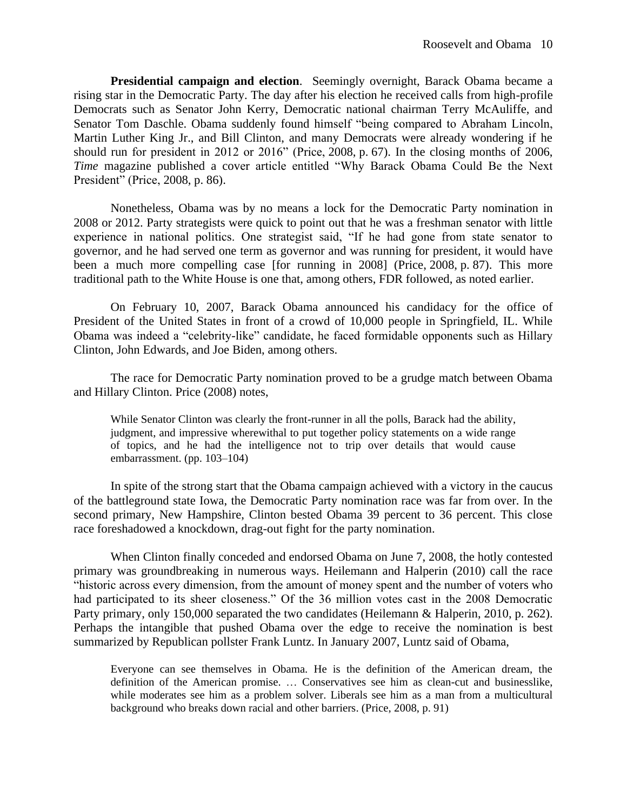**Presidential campaign and election**. Seemingly overnight, Barack Obama became a rising star in the Democratic Party. The day after his election he received calls from high-profile Democrats such as Senator John Kerry, Democratic national chairman Terry McAuliffe, and Senator Tom Daschle. Obama suddenly found himself "being compared to Abraham Lincoln, Martin Luther King Jr., and Bill Clinton, and many Democrats were already wondering if he should run for president in 2012 or 2016" (Price, 2008, p. 67). In the closing months of 2006, *Time* magazine published a cover article entitled "Why Barack Obama Could Be the Next President" (Price, 2008, p. 86).

Nonetheless, Obama was by no means a lock for the Democratic Party nomination in 2008 or 2012. Party strategists were quick to point out that he was a freshman senator with little experience in national politics. One strategist said, "If he had gone from state senator to governor, and he had served one term as governor and was running for president, it would have been a much more compelling case [for running in 2008] (Price, 2008, p. 87). This more traditional path to the White House is one that, among others, FDR followed, as noted earlier.

On February 10, 2007, Barack Obama announced his candidacy for the office of President of the United States in front of a crowd of 10,000 people in Springfield, IL. While Obama was indeed a "celebrity-like" candidate, he faced formidable opponents such as Hillary Clinton, John Edwards, and Joe Biden, among others.

The race for Democratic Party nomination proved to be a grudge match between Obama and Hillary Clinton. Price (2008) notes,

While Senator Clinton was clearly the front-runner in all the polls, Barack had the ability, judgment, and impressive wherewithal to put together policy statements on a wide range of topics, and he had the intelligence not to trip over details that would cause embarrassment. (pp. 103–104)

In spite of the strong start that the Obama campaign achieved with a victory in the caucus of the battleground state Iowa, the Democratic Party nomination race was far from over. In the second primary, New Hampshire, Clinton bested Obama 39 percent to 36 percent. This close race foreshadowed a knockdown, drag-out fight for the party nomination.

When Clinton finally conceded and endorsed Obama on June 7, 2008, the hotly contested primary was groundbreaking in numerous ways. Heilemann and Halperin (2010) call the race "historic across every dimension, from the amount of money spent and the number of voters who had participated to its sheer closeness." Of the 36 million votes cast in the 2008 Democratic Party primary, only 150,000 separated the two candidates (Heilemann & Halperin, 2010, p. 262). Perhaps the intangible that pushed Obama over the edge to receive the nomination is best summarized by Republican pollster Frank Luntz. In January 2007, Luntz said of Obama,

Everyone can see themselves in Obama. He is the definition of the American dream, the definition of the American promise. … Conservatives see him as clean-cut and businesslike, while moderates see him as a problem solver. Liberals see him as a man from a multicultural background who breaks down racial and other barriers. (Price, 2008, p. 91)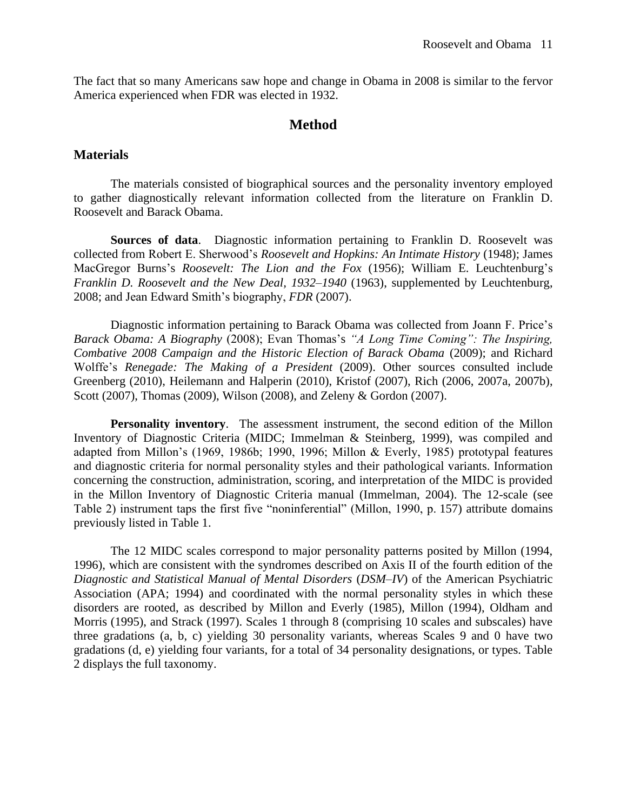The fact that so many Americans saw hope and change in Obama in 2008 is similar to the fervor America experienced when FDR was elected in 1932.

### **Method**

#### **Materials**

The materials consisted of biographical sources and the personality inventory employed to gather diagnostically relevant information collected from the literature on Franklin D. Roosevelt and Barack Obama.

**Sources of data**. Diagnostic information pertaining to Franklin D. Roosevelt was collected from Robert E. Sherwood's *Roosevelt and Hopkins: An Intimate History* (1948); James MacGregor Burns's *Roosevelt: The Lion and the Fox* (1956); William E. Leuchtenburg's *Franklin D. Roosevelt and the New Deal, 1932–1940* (1963), supplemented by Leuchtenburg, 2008; and Jean Edward Smith's biography, *FDR* (2007).

Diagnostic information pertaining to Barack Obama was collected from Joann F. Price's *Barack Obama: A Biography* (2008); Evan Thomas's *"A Long Time Coming": The Inspiring, Combative 2008 Campaign and the Historic Election of Barack Obama* (2009); and Richard Wolffe's *Renegade: The Making of a President* (2009). Other sources consulted include Greenberg (2010), Heilemann and Halperin (2010), Kristof (2007), Rich (2006, 2007a, 2007b), Scott (2007), Thomas (2009), Wilson (2008), and Zeleny & Gordon (2007).

**Personality inventory**. The assessment instrument, the second edition of the Millon Inventory of Diagnostic Criteria (MIDC; Immelman & Steinberg, 1999), was compiled and adapted from Millon's (1969, 1986b; 1990, 1996; Millon & Everly, 1985) prototypal features and diagnostic criteria for normal personality styles and their pathological variants. Information concerning the construction, administration, scoring, and interpretation of the MIDC is provided in the Millon Inventory of Diagnostic Criteria manual (Immelman, 2004). The 12-scale (see Table 2) instrument taps the first five "noninferential" (Millon, 1990, p. 157) attribute domains previously listed in Table 1.

The 12 MIDC scales correspond to major personality patterns posited by Millon (1994, 1996), which are consistent with the syndromes described on Axis II of the fourth edition of the *Diagnostic and Statistical Manual of Mental Disorders* (*DSM–IV*) of the American Psychiatric Association (APA; 1994) and coordinated with the normal personality styles in which these disorders are rooted, as described by Millon and Everly (1985), Millon (1994), Oldham and Morris (1995), and Strack (1997). Scales 1 through 8 (comprising 10 scales and subscales) have three gradations (a, b, c) yielding 30 personality variants, whereas Scales 9 and 0 have two gradations (d, e) yielding four variants, for a total of 34 personality designations, or types. Table 2 displays the full taxonomy.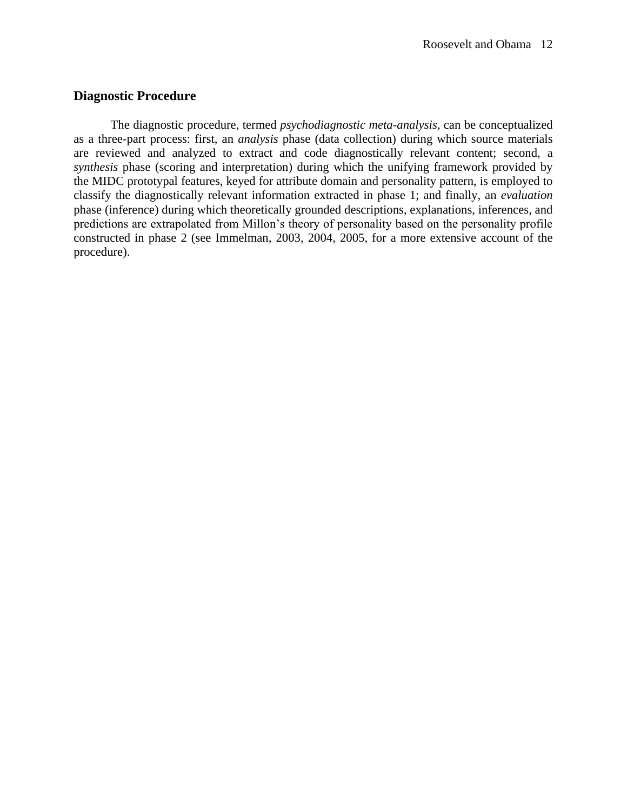## **Diagnostic Procedure**

The diagnostic procedure, termed *psychodiagnostic meta-analysis*, can be conceptualized as a three-part process: first, an *analysis* phase (data collection) during which source materials are reviewed and analyzed to extract and code diagnostically relevant content; second, a *synthesis* phase (scoring and interpretation) during which the unifying framework provided by the MIDC prototypal features, keyed for attribute domain and personality pattern, is employed to classify the diagnostically relevant information extracted in phase 1; and finally, an *evaluation* phase (inference) during which theoretically grounded descriptions, explanations, inferences, and predictions are extrapolated from Millon's theory of personality based on the personality profile constructed in phase 2 (see Immelman, 2003, 2004, 2005, for a more extensive account of the procedure).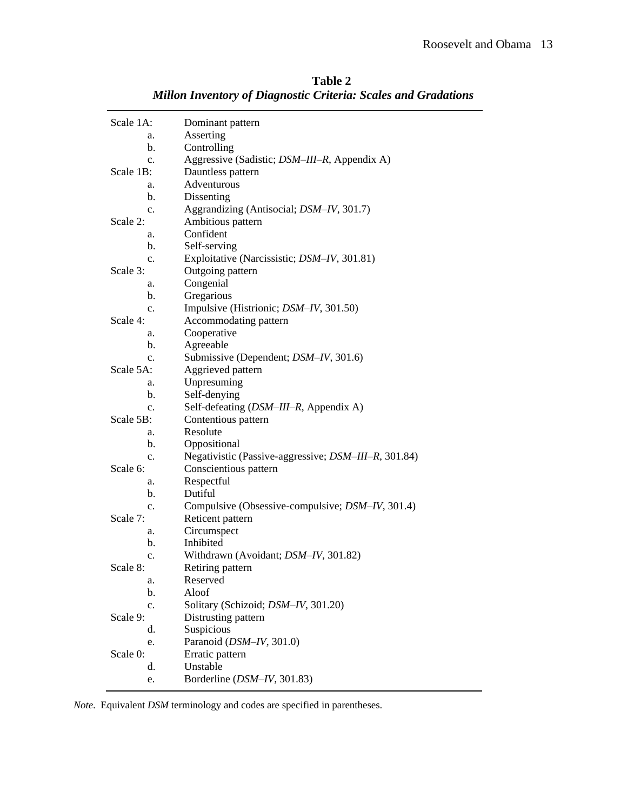| Scale 1A:      | Dominant pattern                                         |  |
|----------------|----------------------------------------------------------|--|
| a.             | Asserting                                                |  |
| b.             | Controlling                                              |  |
| $\mathbf{c}$ . | Aggressive (Sadistic; <i>DSM-III-R</i> , Appendix A)     |  |
| Scale 1B:      | Dauntless pattern                                        |  |
| a.             | Adventurous                                              |  |
| b.             | Dissenting                                               |  |
| c.             | Aggrandizing (Antisocial; DSM-IV, 301.7)                 |  |
| Scale 2:       | Ambitious pattern                                        |  |
| a.             | Confident                                                |  |
| b.             | Self-serving                                             |  |
| c.             | Exploitative (Narcissistic; DSM-IV, 301.81)              |  |
| Scale 3:       | Outgoing pattern                                         |  |
| a.             | Congenial                                                |  |
| b.             | Gregarious                                               |  |
| c.             | Impulsive (Histrionic; DSM-IV, 301.50)                   |  |
| Scale 4:       | Accommodating pattern                                    |  |
| a.             | Cooperative                                              |  |
| b.             | Agreeable                                                |  |
| c.             | Submissive (Dependent; DSM-IV, 301.6)                    |  |
| Scale 5A:      | Aggrieved pattern                                        |  |
| a.             | Unpresuming                                              |  |
| b.             | Self-denying                                             |  |
| c.             | Self-defeating (DSM-III-R, Appendix A)                   |  |
| Scale 5B:      | Contentious pattern                                      |  |
| a.             | Resolute                                                 |  |
| b.             | Oppositional                                             |  |
| c.             | Negativistic (Passive-aggressive; DSM-III-R, 301.84)     |  |
| Scale 6:       | Conscientious pattern                                    |  |
| a.             | Respectful                                               |  |
| b.             | Dutiful                                                  |  |
| c.             | Compulsive (Obsessive-compulsive; <i>DSM-IV</i> , 301.4) |  |
| Scale 7:       | Reticent pattern                                         |  |
| a.             | Circumspect                                              |  |
| b.             | Inhibited                                                |  |
| c.             | Withdrawn (Avoidant; DSM-IV, 301.82)                     |  |
| Scale 8:       | Retiring pattern                                         |  |
| a.             | Reserved                                                 |  |
| b.             | Aloof                                                    |  |
| c.             | Solitary (Schizoid; DSM-IV, 301.20)                      |  |
| Scale 9:       | Distrusting pattern                                      |  |
| d.             | Suspicious                                               |  |
| e.             | Paranoid (DSM-IV, 301.0)                                 |  |
| Scale 0:       | Erratic pattern                                          |  |
| d.             | Unstable                                                 |  |
| e.             | Borderline (DSM-IV, 301.83)                              |  |
|                |                                                          |  |

**Table 2** *Millon Inventory of Diagnostic Criteria: Scales and Gradations*

*Note*. Equivalent *DSM* terminology and codes are specified in parentheses.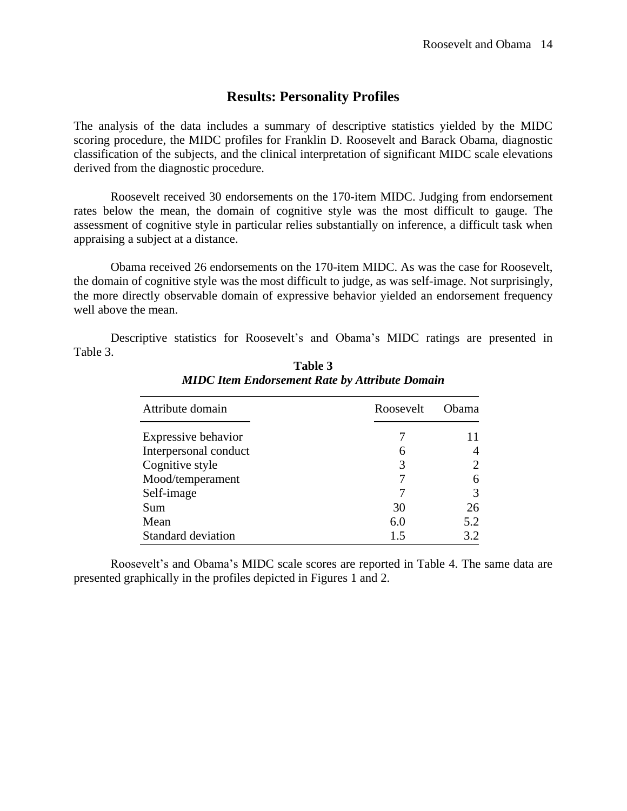## **Results: Personality Profiles**

The analysis of the data includes a summary of descriptive statistics yielded by the MIDC scoring procedure, the MIDC profiles for Franklin D. Roosevelt and Barack Obama, diagnostic classification of the subjects, and the clinical interpretation of significant MIDC scale elevations derived from the diagnostic procedure.

Roosevelt received 30 endorsements on the 170-item MIDC. Judging from endorsement rates below the mean, the domain of cognitive style was the most difficult to gauge. The assessment of cognitive style in particular relies substantially on inference, a difficult task when appraising a subject at a distance.

Obama received 26 endorsements on the 170-item MIDC. As was the case for Roosevelt, the domain of cognitive style was the most difficult to judge, as was self-image. Not surprisingly, the more directly observable domain of expressive behavior yielded an endorsement frequency well above the mean.

Descriptive statistics for Roosevelt's and Obama's MIDC ratings are presented in Table 3.

| Attribute domain      | Roosevelt | <b>Ohama</b> |  |
|-----------------------|-----------|--------------|--|
| Expressive behavior   |           |              |  |
| Interpersonal conduct | 6         |              |  |
| Cognitive style       |           |              |  |
| Mood/temperament      |           |              |  |
| Self-image            |           |              |  |
| Sum                   | 30        | 26           |  |
| Mean                  | 6.0       | 5.2          |  |
| Standard deviation    | 1.5       | 3.2          |  |

**Table 3** *MIDC Item Endorsement Rate by Attribute Domain*

Roosevelt's and Obama's MIDC scale scores are reported in Table 4. The same data are presented graphically in the profiles depicted in Figures 1 and 2.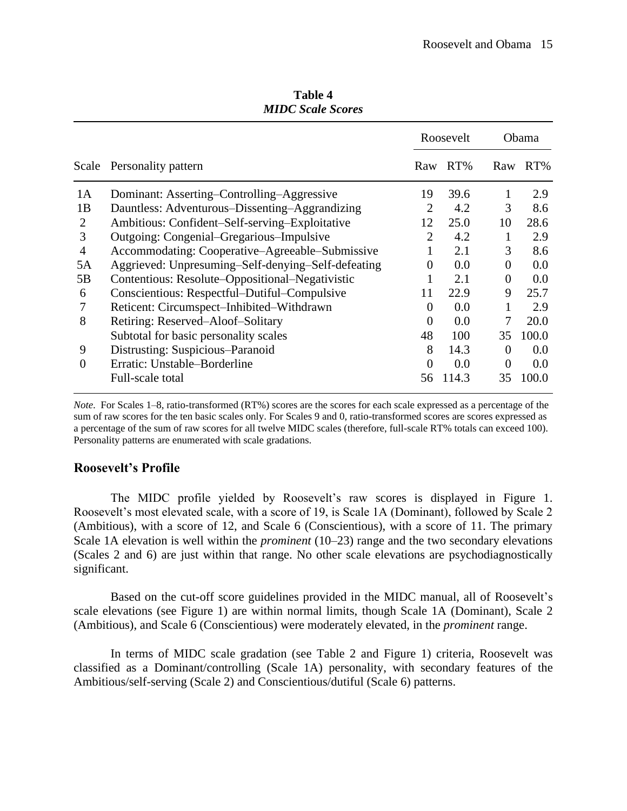| MIDC Scale Scores |                                                    |                |           |                |              |  |  |  |
|-------------------|----------------------------------------------------|----------------|-----------|----------------|--------------|--|--|--|
|                   |                                                    |                | Roosevelt |                | <b>Obama</b> |  |  |  |
|                   | Scale Personality pattern                          | Raw            | $RT\%$    |                | Raw RT%      |  |  |  |
| 1A                | Dominant: Asserting-Controlling-Aggressive         | 19             | 39.6      | 1              | 2.9          |  |  |  |
| 1B                | Dauntless: Adventurous–Dissenting–Aggrandizing     | $\overline{2}$ | 4.2       | 3              | 8.6          |  |  |  |
| 2                 | Ambitious: Confident–Self-serving–Exploitative     | 12             | 25.0      | 10             | 28.6         |  |  |  |
| 3                 | Outgoing: Congenial–Gregarious–Impulsive           | $\overline{2}$ | 4.2       | 1              | 2.9          |  |  |  |
| $\overline{4}$    | Accommodating: Cooperative–Agreeable–Submissive    |                | 2.1       | 3              | 8.6          |  |  |  |
| 5A                | Aggrieved: Unpresuming-Self-denying-Self-defeating | $\Omega$       | 0.0       | $\overline{0}$ | 0.0          |  |  |  |
| 5B                | Contentious: Resolute–Oppositional–Negativistic    |                | 2.1       | $\theta$       | 0.0          |  |  |  |
| 6                 | Conscientious: Respectful–Dutiful–Compulsive       | 11             | 22.9      | 9              | 25.7         |  |  |  |
| 7                 | Reticent: Circumspect-Inhibited-Withdrawn          | $\Omega$       | 0.0       | 1              | 2.9          |  |  |  |
| 8                 | Retiring: Reserved-Aloof-Solitary                  | $\theta$       | 0.0       | 7              | 20.0         |  |  |  |
|                   | Subtotal for basic personality scales              | 48             | 100       | 35             | 100.0        |  |  |  |
| 9                 | Distrusting: Suspicious-Paranoid                   | 8              | 14.3      | $\overline{0}$ | 0.0          |  |  |  |
| $\theta$          | Erratic: Unstable-Borderline                       | $\overline{0}$ | 0.0       | $\theta$       | 0.0          |  |  |  |
|                   | Full-scale total                                   | 56             | 114.3     | 35             | 100.0        |  |  |  |

**Table 4** *MIDC Scale Scores*

*Note*. For Scales 1–8, ratio-transformed (RT%) scores are the scores for each scale expressed as a percentage of the sum of raw scores for the ten basic scales only. For Scales 9 and 0, ratio-transformed scores are scores expressed as a percentage of the sum of raw scores for all twelve MIDC scales (therefore, full-scale RT% totals can exceed 100). Personality patterns are enumerated with scale gradations.

## **Roosevelt's Profile**

The MIDC profile yielded by Roosevelt's raw scores is displayed in Figure 1. Roosevelt's most elevated scale, with a score of 19, is Scale 1A (Dominant), followed by Scale 2 (Ambitious), with a score of 12, and Scale 6 (Conscientious), with a score of 11. The primary Scale 1A elevation is well within the *prominent* (10–23) range and the two secondary elevations (Scales 2 and 6) are just within that range. No other scale elevations are psychodiagnostically significant.

Based on the cut-off score guidelines provided in the MIDC manual, all of Roosevelt's scale elevations (see Figure 1) are within normal limits, though Scale 1A (Dominant), Scale 2 (Ambitious), and Scale 6 (Conscientious) were moderately elevated, in the *prominent* range.

In terms of MIDC scale gradation (see Table 2 and Figure 1) criteria, Roosevelt was classified as a Dominant/controlling (Scale 1A) personality, with secondary features of the Ambitious/self-serving (Scale 2) and Conscientious/dutiful (Scale 6) patterns.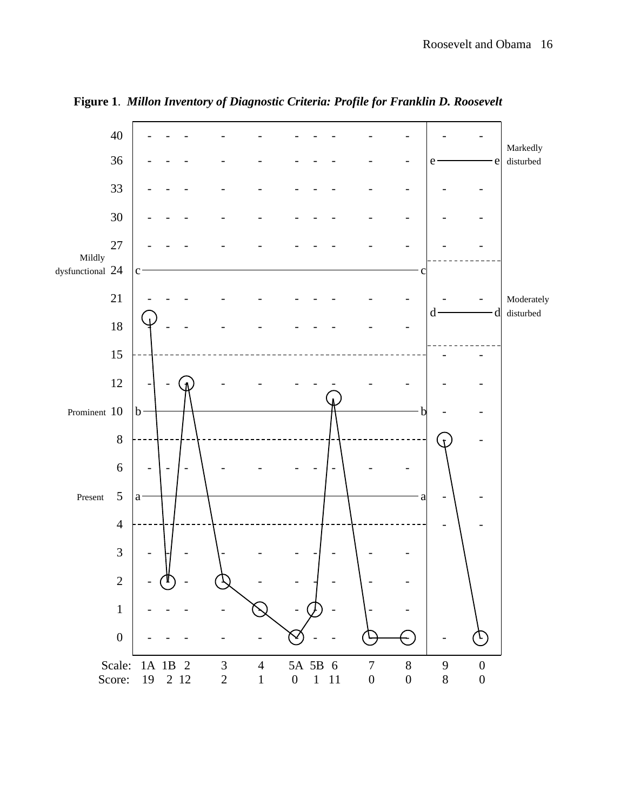

**Figure 1**. *Millon Inventory of Diagnostic Criteria: Profile for Franklin D. Roosevelt*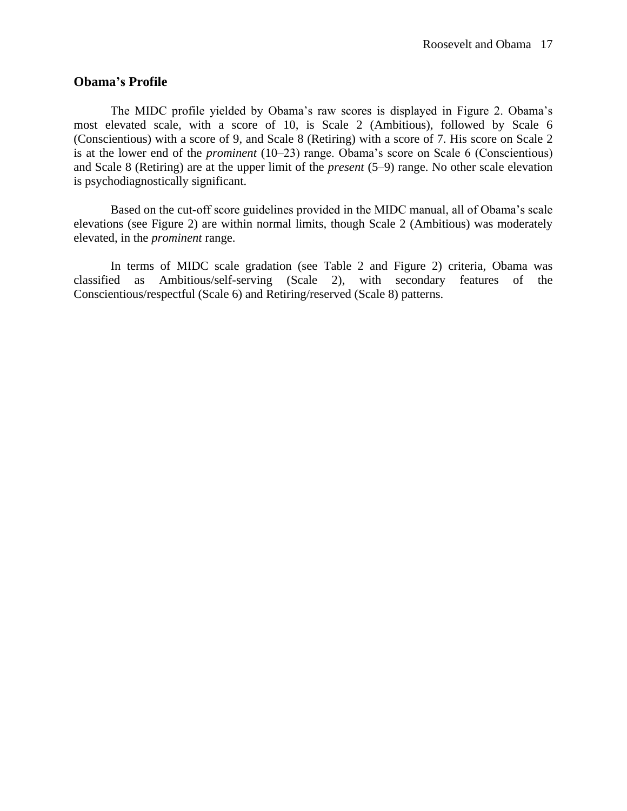## **Obama's Profile**

The MIDC profile yielded by Obama's raw scores is displayed in Figure 2. Obama's most elevated scale, with a score of 10, is Scale 2 (Ambitious), followed by Scale 6 (Conscientious) with a score of 9, and Scale 8 (Retiring) with a score of 7. His score on Scale 2 is at the lower end of the *prominent* (10–23) range. Obama's score on Scale 6 (Conscientious) and Scale 8 (Retiring) are at the upper limit of the *present* (5–9) range. No other scale elevation is psychodiagnostically significant.

Based on the cut-off score guidelines provided in the MIDC manual, all of Obama's scale elevations (see Figure 2) are within normal limits, though Scale 2 (Ambitious) was moderately elevated, in the *prominent* range.

In terms of MIDC scale gradation (see Table 2 and Figure 2) criteria, Obama was classified as Ambitious/self-serving (Scale 2), with secondary features of the Conscientious/respectful (Scale 6) and Retiring/reserved (Scale 8) patterns.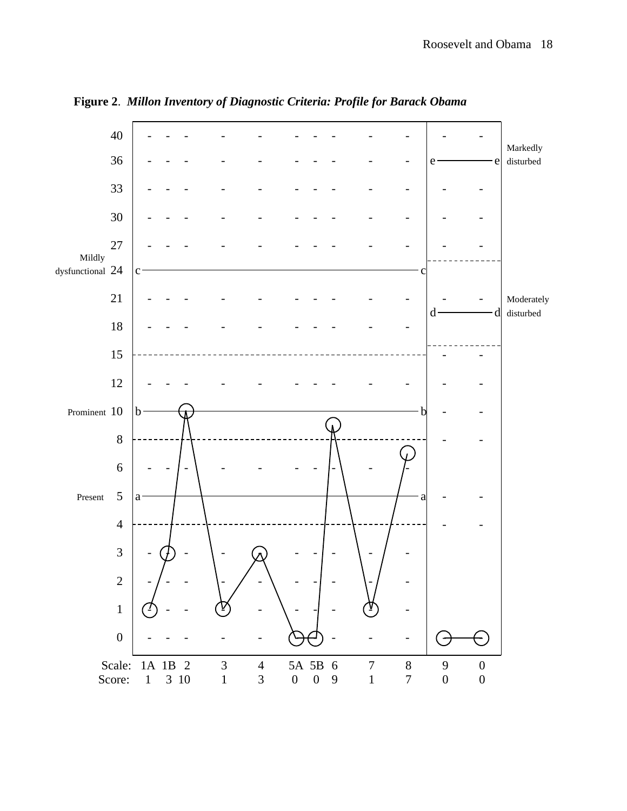

**Figure 2**. *Millon Inventory of Diagnostic Criteria: Profile for Barack Obama*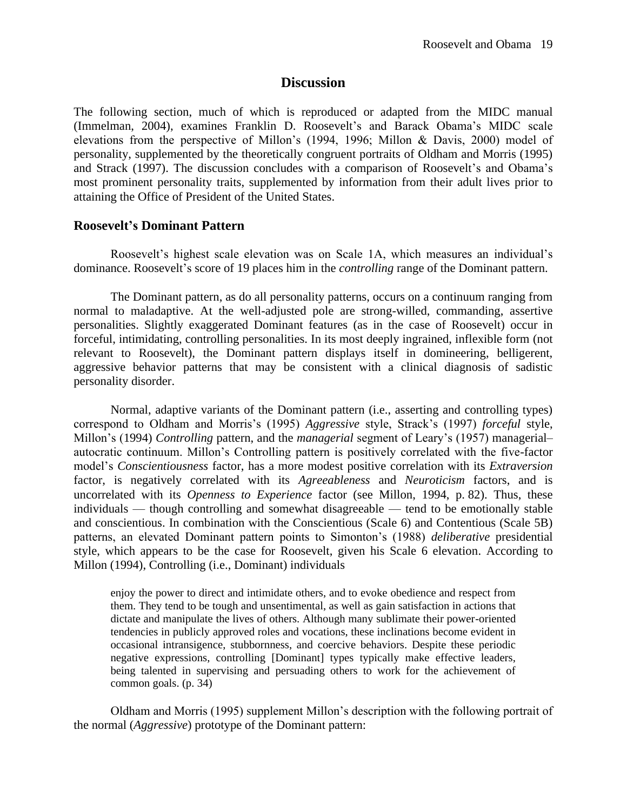#### **Discussion**

The following section, much of which is reproduced or adapted from the MIDC manual (Immelman, 2004), examines Franklin D. Roosevelt's and Barack Obama's MIDC scale elevations from the perspective of Millon's (1994, 1996; Millon & Davis, 2000) model of personality, supplemented by the theoretically congruent portraits of Oldham and Morris (1995) and Strack (1997). The discussion concludes with a comparison of Roosevelt's and Obama's most prominent personality traits, supplemented by information from their adult lives prior to attaining the Office of President of the United States.

#### **Roosevelt's Dominant Pattern**

Roosevelt's highest scale elevation was on Scale 1A, which measures an individual's dominance. Roosevelt's score of 19 places him in the *controlling* range of the Dominant pattern.

The Dominant pattern, as do all personality patterns, occurs on a continuum ranging from normal to maladaptive. At the well-adjusted pole are strong-willed, commanding, assertive personalities. Slightly exaggerated Dominant features (as in the case of Roosevelt) occur in forceful, intimidating, controlling personalities. In its most deeply ingrained, inflexible form (not relevant to Roosevelt), the Dominant pattern displays itself in domineering, belligerent, aggressive behavior patterns that may be consistent with a clinical diagnosis of sadistic personality disorder.

Normal, adaptive variants of the Dominant pattern (i.e., asserting and controlling types) correspond to Oldham and Morris's (1995) *Aggressive* style, Strack's (1997) *forceful* style, Millon's (1994) *Controlling* pattern, and the *managerial* segment of Leary's (1957) managerial– autocratic continuum. Millon's Controlling pattern is positively correlated with the five-factor model's *Conscientiousness* factor, has a more modest positive correlation with its *Extraversion* factor, is negatively correlated with its *Agreeableness* and *Neuroticism* factors, and is uncorrelated with its *Openness to Experience* factor (see Millon, 1994, p. 82). Thus, these individuals — though controlling and somewhat disagreeable — tend to be emotionally stable and conscientious. In combination with the Conscientious (Scale 6) and Contentious (Scale 5B) patterns, an elevated Dominant pattern points to Simonton's (1988) *deliberative* presidential style, which appears to be the case for Roosevelt, given his Scale 6 elevation. According to Millon (1994), Controlling (i.e., Dominant) individuals

enjoy the power to direct and intimidate others, and to evoke obedience and respect from them. They tend to be tough and unsentimental, as well as gain satisfaction in actions that dictate and manipulate the lives of others. Although many sublimate their power-oriented tendencies in publicly approved roles and vocations, these inclinations become evident in occasional intransigence, stubbornness, and coercive behaviors. Despite these periodic negative expressions, controlling [Dominant] types typically make effective leaders, being talented in supervising and persuading others to work for the achievement of common goals. (p. 34)

Oldham and Morris (1995) supplement Millon's description with the following portrait of the normal (*Aggressive*) prototype of the Dominant pattern: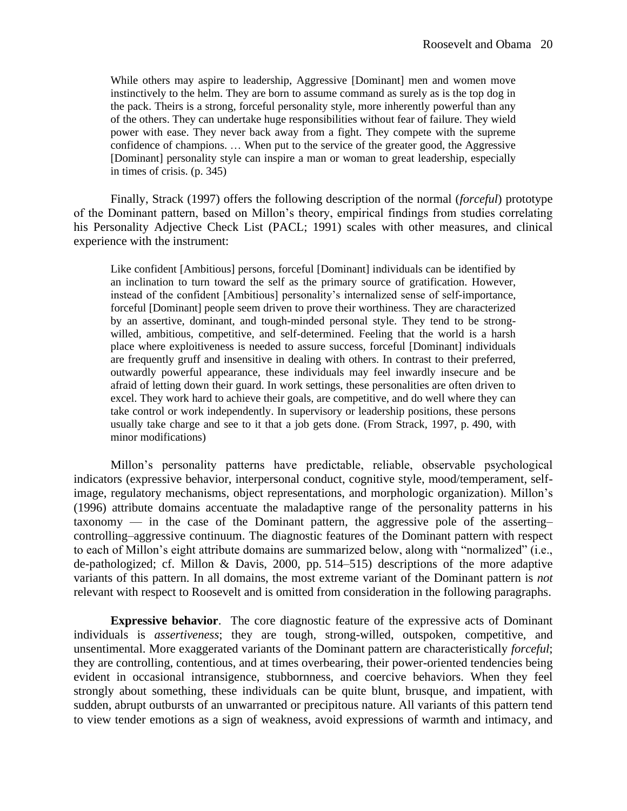While others may aspire to leadership, Aggressive [Dominant] men and women move instinctively to the helm. They are born to assume command as surely as is the top dog in the pack. Theirs is a strong, forceful personality style, more inherently powerful than any of the others. They can undertake huge responsibilities without fear of failure. They wield power with ease. They never back away from a fight. They compete with the supreme confidence of champions. … When put to the service of the greater good, the Aggressive [Dominant] personality style can inspire a man or woman to great leadership, especially in times of crisis. (p. 345)

Finally, Strack (1997) offers the following description of the normal (*forceful*) prototype of the Dominant pattern, based on Millon's theory, empirical findings from studies correlating his Personality Adjective Check List (PACL; 1991) scales with other measures, and clinical experience with the instrument:

Like confident [Ambitious] persons, forceful [Dominant] individuals can be identified by an inclination to turn toward the self as the primary source of gratification. However, instead of the confident [Ambitious] personality's internalized sense of self-importance, forceful [Dominant] people seem driven to prove their worthiness. They are characterized by an assertive, dominant, and tough-minded personal style. They tend to be strongwilled, ambitious, competitive, and self-determined. Feeling that the world is a harsh place where exploitiveness is needed to assure success, forceful [Dominant] individuals are frequently gruff and insensitive in dealing with others. In contrast to their preferred, outwardly powerful appearance, these individuals may feel inwardly insecure and be afraid of letting down their guard. In work settings, these personalities are often driven to excel. They work hard to achieve their goals, are competitive, and do well where they can take control or work independently. In supervisory or leadership positions, these persons usually take charge and see to it that a job gets done. (From Strack, 1997, p. 490, with minor modifications)

Millon's personality patterns have predictable, reliable, observable psychological indicators (expressive behavior, interpersonal conduct, cognitive style, mood/temperament, selfimage, regulatory mechanisms, object representations, and morphologic organization). Millon's (1996) attribute domains accentuate the maladaptive range of the personality patterns in his taxonomy — in the case of the Dominant pattern, the aggressive pole of the asserting– controlling–aggressive continuum. The diagnostic features of the Dominant pattern with respect to each of Millon's eight attribute domains are summarized below, along with "normalized" (i.e., de-pathologized; cf. Millon & Davis, 2000, pp. 514–515) descriptions of the more adaptive variants of this pattern. In all domains, the most extreme variant of the Dominant pattern is *not* relevant with respect to Roosevelt and is omitted from consideration in the following paragraphs.

**Expressive behavior**. The core diagnostic feature of the expressive acts of Dominant individuals is *assertiveness*; they are tough, strong-willed, outspoken, competitive, and unsentimental. More exaggerated variants of the Dominant pattern are characteristically *forceful*; they are controlling, contentious, and at times overbearing, their power-oriented tendencies being evident in occasional intransigence, stubbornness, and coercive behaviors. When they feel strongly about something, these individuals can be quite blunt, brusque, and impatient, with sudden, abrupt outbursts of an unwarranted or precipitous nature. All variants of this pattern tend to view tender emotions as a sign of weakness, avoid expressions of warmth and intimacy, and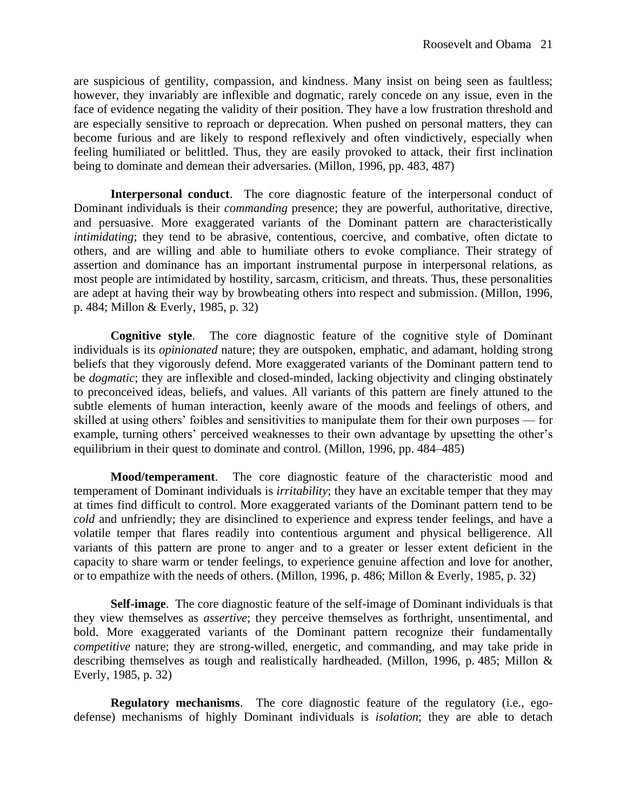are suspicious of gentility, compassion, and kindness. Many insist on being seen as faultless; however, they invariably are inflexible and dogmatic, rarely concede on any issue, even in the face of evidence negating the validity of their position. They have a low frustration threshold and are especially sensitive to reproach or deprecation. When pushed on personal matters, they can become furious and are likely to respond reflexively and often vindictively, especially when feeling humiliated or belittled. Thus, they are easily provoked to attack, their first inclination being to dominate and demean their adversaries. (Millon, 1996, pp. 483, 487)

**Interpersonal conduct**. The core diagnostic feature of the interpersonal conduct of Dominant individuals is their *commanding* presence; they are powerful, authoritative, directive, and persuasive. More exaggerated variants of the Dominant pattern are characteristically *intimidating*; they tend to be abrasive, contentious, coercive, and combative, often dictate to others, and are willing and able to humiliate others to evoke compliance. Their strategy of assertion and dominance has an important instrumental purpose in interpersonal relations, as most people are intimidated by hostility, sarcasm, criticism, and threats. Thus, these personalities are adept at having their way by browbeating others into respect and submission. (Millon, 1996, p. 484; Millon & Everly, 1985, p. 32)

**Cognitive style**. The core diagnostic feature of the cognitive style of Dominant individuals is its *opinionated* nature; they are outspoken, emphatic, and adamant, holding strong beliefs that they vigorously defend. More exaggerated variants of the Dominant pattern tend to be *dogmatic*; they are inflexible and closed-minded, lacking objectivity and clinging obstinately to preconceived ideas, beliefs, and values. All variants of this pattern are finely attuned to the subtle elements of human interaction, keenly aware of the moods and feelings of others, and skilled at using others' foibles and sensitivities to manipulate them for their own purposes — for example, turning others' perceived weaknesses to their own advantage by upsetting the other's equilibrium in their quest to dominate and control. (Millon, 1996, pp. 484–485)

**Mood/temperament**. The core diagnostic feature of the characteristic mood and temperament of Dominant individuals is *irritability*; they have an excitable temper that they may at times find difficult to control. More exaggerated variants of the Dominant pattern tend to be *cold* and unfriendly; they are disinclined to experience and express tender feelings, and have a volatile temper that flares readily into contentious argument and physical belligerence. All variants of this pattern are prone to anger and to a greater or lesser extent deficient in the capacity to share warm or tender feelings, to experience genuine affection and love for another, or to empathize with the needs of others. (Millon, 1996, p. 486; Millon & Everly, 1985, p. 32)

**Self-image**. The core diagnostic feature of the self-image of Dominant individuals is that they view themselves as *assertive*; they perceive themselves as forthright, unsentimental, and bold. More exaggerated variants of the Dominant pattern recognize their fundamentally *competitive* nature; they are strong-willed, energetic, and commanding, and may take pride in describing themselves as tough and realistically hardheaded. (Millon, 1996, p. 485; Millon & Everly, 1985, p. 32)

**Regulatory mechanisms**. The core diagnostic feature of the regulatory (i.e., egodefense) mechanisms of highly Dominant individuals is *isolation*; they are able to detach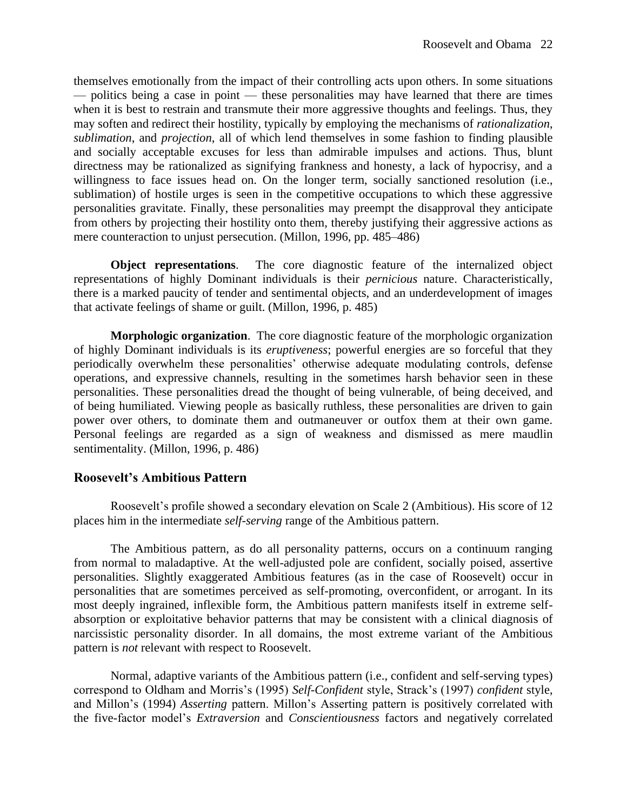themselves emotionally from the impact of their controlling acts upon others. In some situations — politics being a case in point — these personalities may have learned that there are times when it is best to restrain and transmute their more aggressive thoughts and feelings. Thus, they may soften and redirect their hostility, typically by employing the mechanisms of *rationalization*, *sublimation*, and *projection*, all of which lend themselves in some fashion to finding plausible and socially acceptable excuses for less than admirable impulses and actions. Thus, blunt directness may be rationalized as signifying frankness and honesty, a lack of hypocrisy, and a willingness to face issues head on. On the longer term, socially sanctioned resolution (i.e., sublimation) of hostile urges is seen in the competitive occupations to which these aggressive personalities gravitate. Finally, these personalities may preempt the disapproval they anticipate from others by projecting their hostility onto them, thereby justifying their aggressive actions as mere counteraction to unjust persecution. (Millon, 1996, pp. 485–486)

**Object representations**. The core diagnostic feature of the internalized object representations of highly Dominant individuals is their *pernicious* nature. Characteristically, there is a marked paucity of tender and sentimental objects, and an underdevelopment of images that activate feelings of shame or guilt. (Millon, 1996, p. 485)

**Morphologic organization**. The core diagnostic feature of the morphologic organization of highly Dominant individuals is its *eruptiveness*; powerful energies are so forceful that they periodically overwhelm these personalities' otherwise adequate modulating controls, defense operations, and expressive channels, resulting in the sometimes harsh behavior seen in these personalities. These personalities dread the thought of being vulnerable, of being deceived, and of being humiliated. Viewing people as basically ruthless, these personalities are driven to gain power over others, to dominate them and outmaneuver or outfox them at their own game. Personal feelings are regarded as a sign of weakness and dismissed as mere maudlin sentimentality. (Millon, 1996, p. 486)

#### **Roosevelt's Ambitious Pattern**

Roosevelt's profile showed a secondary elevation on Scale 2 (Ambitious). His score of 12 places him in the intermediate *self-serving* range of the Ambitious pattern.

The Ambitious pattern, as do all personality patterns, occurs on a continuum ranging from normal to maladaptive. At the well-adjusted pole are confident, socially poised, assertive personalities. Slightly exaggerated Ambitious features (as in the case of Roosevelt) occur in personalities that are sometimes perceived as self-promoting, overconfident, or arrogant. In its most deeply ingrained, inflexible form, the Ambitious pattern manifests itself in extreme selfabsorption or exploitative behavior patterns that may be consistent with a clinical diagnosis of narcissistic personality disorder. In all domains, the most extreme variant of the Ambitious pattern is *not* relevant with respect to Roosevelt.

Normal, adaptive variants of the Ambitious pattern (i.e., confident and self-serving types) correspond to Oldham and Morris's (1995) *Self-Confident* style, Strack's (1997) *confident* style, and Millon's (1994) *Asserting* pattern. Millon's Asserting pattern is positively correlated with the five-factor model's *Extraversion* and *Conscientiousness* factors and negatively correlated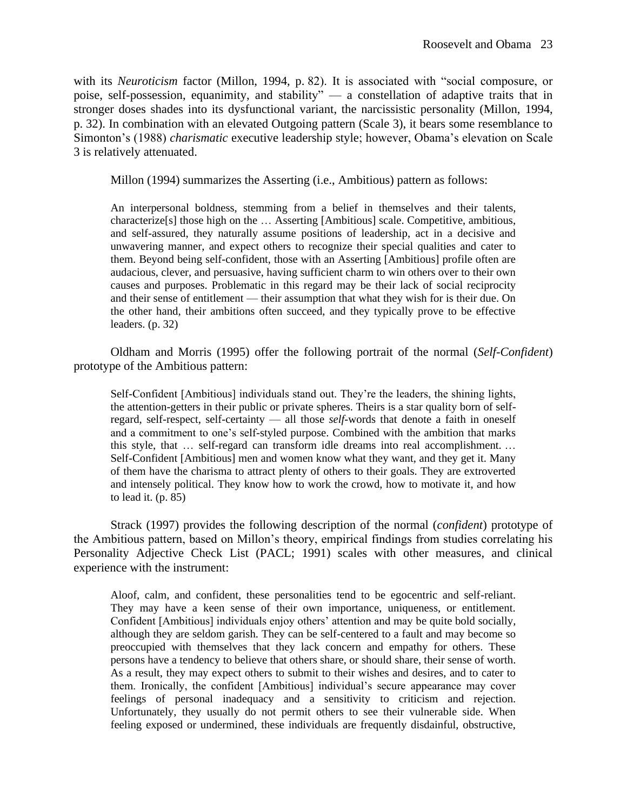with its *Neuroticism* factor (Millon, 1994, p. 82). It is associated with "social composure, or poise, self-possession, equanimity, and stability" — a constellation of adaptive traits that in stronger doses shades into its dysfunctional variant, the narcissistic personality (Millon, 1994, p. 32). In combination with an elevated Outgoing pattern (Scale 3), it bears some resemblance to Simonton's (1988) *charismatic* executive leadership style; however, Obama's elevation on Scale 3 is relatively attenuated.

Millon (1994) summarizes the Asserting (i.e., Ambitious) pattern as follows:

An interpersonal boldness, stemming from a belief in themselves and their talents, characterize[s] those high on the … Asserting [Ambitious] scale. Competitive, ambitious, and self-assured, they naturally assume positions of leadership, act in a decisive and unwavering manner, and expect others to recognize their special qualities and cater to them. Beyond being self-confident, those with an Asserting [Ambitious] profile often are audacious, clever, and persuasive, having sufficient charm to win others over to their own causes and purposes. Problematic in this regard may be their lack of social reciprocity and their sense of entitlement — their assumption that what they wish for is their due. On the other hand, their ambitions often succeed, and they typically prove to be effective leaders. (p. 32)

Oldham and Morris (1995) offer the following portrait of the normal (*Self-Confident*) prototype of the Ambitious pattern:

Self-Confident [Ambitious] individuals stand out. They're the leaders, the shining lights, the attention-getters in their public or private spheres. Theirs is a star quality born of selfregard, self-respect, self-certainty — all those *self*-words that denote a faith in oneself and a commitment to one's self-styled purpose. Combined with the ambition that marks this style, that … self-regard can transform idle dreams into real accomplishment. … Self-Confident [Ambitious] men and women know what they want, and they get it. Many of them have the charisma to attract plenty of others to their goals. They are extroverted and intensely political. They know how to work the crowd, how to motivate it, and how to lead it.  $(p. 85)$ 

Strack (1997) provides the following description of the normal (*confident*) prototype of the Ambitious pattern, based on Millon's theory, empirical findings from studies correlating his Personality Adjective Check List (PACL; 1991) scales with other measures, and clinical experience with the instrument:

Aloof, calm, and confident, these personalities tend to be egocentric and self-reliant. They may have a keen sense of their own importance, uniqueness, or entitlement. Confident [Ambitious] individuals enjoy others' attention and may be quite bold socially, although they are seldom garish. They can be self-centered to a fault and may become so preoccupied with themselves that they lack concern and empathy for others. These persons have a tendency to believe that others share, or should share, their sense of worth. As a result, they may expect others to submit to their wishes and desires, and to cater to them. Ironically, the confident [Ambitious] individual's secure appearance may cover feelings of personal inadequacy and a sensitivity to criticism and rejection. Unfortunately, they usually do not permit others to see their vulnerable side. When feeling exposed or undermined, these individuals are frequently disdainful, obstructive,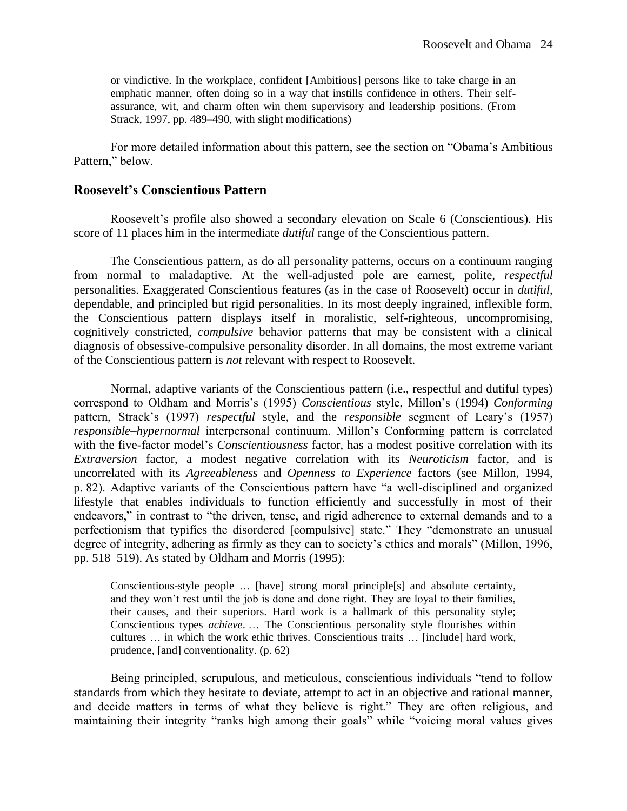or vindictive. In the workplace, confident [Ambitious] persons like to take charge in an emphatic manner, often doing so in a way that instills confidence in others. Their selfassurance, wit, and charm often win them supervisory and leadership positions. (From Strack, 1997, pp. 489–490, with slight modifications)

For more detailed information about this pattern, see the section on "Obama's Ambitious Pattern," below.

#### **Roosevelt's Conscientious Pattern**

Roosevelt's profile also showed a secondary elevation on Scale 6 (Conscientious). His score of 11 places him in the intermediate *dutiful* range of the Conscientious pattern.

The Conscientious pattern, as do all personality patterns, occurs on a continuum ranging from normal to maladaptive. At the well-adjusted pole are earnest, polite, *respectful* personalities. Exaggerated Conscientious features (as in the case of Roosevelt) occur in *dutiful*, dependable, and principled but rigid personalities. In its most deeply ingrained, inflexible form, the Conscientious pattern displays itself in moralistic, self-righteous, uncompromising, cognitively constricted, *compulsive* behavior patterns that may be consistent with a clinical diagnosis of obsessive-compulsive personality disorder. In all domains, the most extreme variant of the Conscientious pattern is *not* relevant with respect to Roosevelt.

Normal, adaptive variants of the Conscientious pattern (i.e., respectful and dutiful types) correspond to Oldham and Morris's (1995) *Conscientious* style, Millon's (1994) *Conforming* pattern, Strack's (1997) *respectful* style, and the *responsible* segment of Leary's (1957) *responsible–hypernormal* interpersonal continuum. Millon's Conforming pattern is correlated with the five-factor model's *Conscientiousness* factor, has a modest positive correlation with its *Extraversion* factor, a modest negative correlation with its *Neuroticism* factor, and is uncorrelated with its *Agreeableness* and *Openness to Experience* factors (see Millon, 1994, p. 82). Adaptive variants of the Conscientious pattern have "a well-disciplined and organized lifestyle that enables individuals to function efficiently and successfully in most of their endeavors," in contrast to "the driven, tense, and rigid adherence to external demands and to a perfectionism that typifies the disordered [compulsive] state." They "demonstrate an unusual degree of integrity, adhering as firmly as they can to society's ethics and morals" (Millon, 1996, pp. 518–519). As stated by Oldham and Morris (1995):

Conscientious-style people … [have] strong moral principle[s] and absolute certainty, and they won't rest until the job is done and done right. They are loyal to their families, their causes, and their superiors. Hard work is a hallmark of this personality style; Conscientious types *achieve*. … The Conscientious personality style flourishes within cultures … in which the work ethic thrives. Conscientious traits … [include] hard work, prudence, [and] conventionality. (p. 62)

Being principled, scrupulous, and meticulous, conscientious individuals "tend to follow standards from which they hesitate to deviate, attempt to act in an objective and rational manner, and decide matters in terms of what they believe is right." They are often religious, and maintaining their integrity "ranks high among their goals" while "voicing moral values gives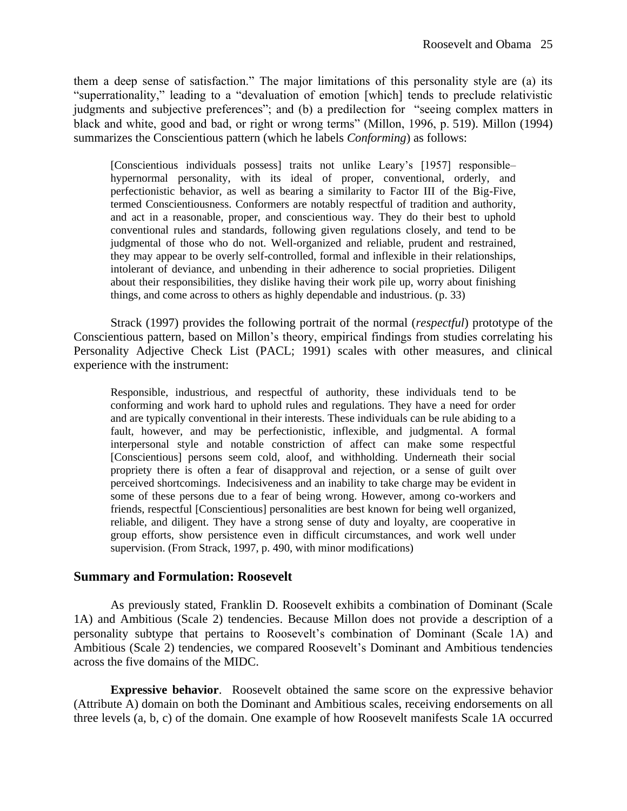them a deep sense of satisfaction." The major limitations of this personality style are (a) its "superrationality," leading to a "devaluation of emotion [which] tends to preclude relativistic judgments and subjective preferences"; and (b) a predilection for "seeing complex matters in black and white, good and bad, or right or wrong terms" (Millon, 1996, p. 519). Millon (1994) summarizes the Conscientious pattern (which he labels *Conforming*) as follows:

[Conscientious individuals possess] traits not unlike Leary's [1957] responsible– hypernormal personality, with its ideal of proper, conventional, orderly, and perfectionistic behavior, as well as bearing a similarity to Factor III of the Big-Five, termed Conscientiousness. Conformers are notably respectful of tradition and authority, and act in a reasonable, proper, and conscientious way. They do their best to uphold conventional rules and standards, following given regulations closely, and tend to be judgmental of those who do not. Well-organized and reliable, prudent and restrained, they may appear to be overly self-controlled, formal and inflexible in their relationships, intolerant of deviance, and unbending in their adherence to social proprieties. Diligent about their responsibilities, they dislike having their work pile up, worry about finishing things, and come across to others as highly dependable and industrious. (p. 33)

Strack (1997) provides the following portrait of the normal (*respectful*) prototype of the Conscientious pattern, based on Millon's theory, empirical findings from studies correlating his Personality Adjective Check List (PACL; 1991) scales with other measures, and clinical experience with the instrument:

Responsible, industrious, and respectful of authority, these individuals tend to be conforming and work hard to uphold rules and regulations. They have a need for order and are typically conventional in their interests. These individuals can be rule abiding to a fault, however, and may be perfectionistic, inflexible, and judgmental. A formal interpersonal style and notable constriction of affect can make some respectful [Conscientious] persons seem cold, aloof, and withholding. Underneath their social propriety there is often a fear of disapproval and rejection, or a sense of guilt over perceived shortcomings. Indecisiveness and an inability to take charge may be evident in some of these persons due to a fear of being wrong. However, among co-workers and friends, respectful [Conscientious] personalities are best known for being well organized, reliable, and diligent. They have a strong sense of duty and loyalty, are cooperative in group efforts, show persistence even in difficult circumstances, and work well under supervision. (From Strack, 1997, p. 490, with minor modifications)

#### **Summary and Formulation: Roosevelt**

As previously stated, Franklin D. Roosevelt exhibits a combination of Dominant (Scale 1A) and Ambitious (Scale 2) tendencies. Because Millon does not provide a description of a personality subtype that pertains to Roosevelt's combination of Dominant (Scale 1A) and Ambitious (Scale 2) tendencies, we compared Roosevelt's Dominant and Ambitious tendencies across the five domains of the MIDC.

**Expressive behavior**. Roosevelt obtained the same score on the expressive behavior (Attribute A) domain on both the Dominant and Ambitious scales, receiving endorsements on all three levels (a, b, c) of the domain. One example of how Roosevelt manifests Scale 1A occurred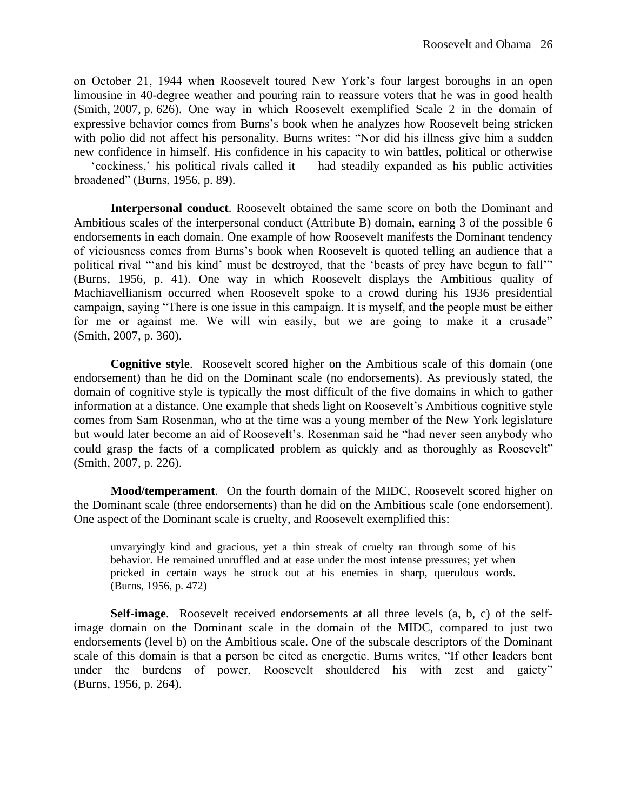on October 21, 1944 when Roosevelt toured New York's four largest boroughs in an open limousine in 40-degree weather and pouring rain to reassure voters that he was in good health (Smith, 2007, p. 626). One way in which Roosevelt exemplified Scale 2 in the domain of expressive behavior comes from Burns's book when he analyzes how Roosevelt being stricken with polio did not affect his personality. Burns writes: "Nor did his illness give him a sudden new confidence in himself. His confidence in his capacity to win battles, political or otherwise — 'cockiness,' his political rivals called it — had steadily expanded as his public activities broadened" (Burns, 1956, p. 89).

**Interpersonal conduct**. Roosevelt obtained the same score on both the Dominant and Ambitious scales of the interpersonal conduct (Attribute B) domain, earning 3 of the possible 6 endorsements in each domain. One example of how Roosevelt manifests the Dominant tendency of viciousness comes from Burns's book when Roosevelt is quoted telling an audience that a political rival "'and his kind' must be destroyed, that the 'beasts of prey have begun to fall'" (Burns, 1956, p. 41). One way in which Roosevelt displays the Ambitious quality of Machiavellianism occurred when Roosevelt spoke to a crowd during his 1936 presidential campaign, saying "There is one issue in this campaign. It is myself, and the people must be either for me or against me. We will win easily, but we are going to make it a crusade" (Smith, 2007, p. 360).

**Cognitive style**. Roosevelt scored higher on the Ambitious scale of this domain (one endorsement) than he did on the Dominant scale (no endorsements). As previously stated, the domain of cognitive style is typically the most difficult of the five domains in which to gather information at a distance. One example that sheds light on Roosevelt's Ambitious cognitive style comes from Sam Rosenman, who at the time was a young member of the New York legislature but would later become an aid of Roosevelt's. Rosenman said he "had never seen anybody who could grasp the facts of a complicated problem as quickly and as thoroughly as Roosevelt" (Smith, 2007, p. 226).

**Mood/temperament**. On the fourth domain of the MIDC, Roosevelt scored higher on the Dominant scale (three endorsements) than he did on the Ambitious scale (one endorsement). One aspect of the Dominant scale is cruelty, and Roosevelt exemplified this:

unvaryingly kind and gracious, yet a thin streak of cruelty ran through some of his behavior. He remained unruffled and at ease under the most intense pressures; yet when pricked in certain ways he struck out at his enemies in sharp, querulous words. (Burns, 1956, p. 472)

**Self-image**. Roosevelt received endorsements at all three levels (a, b, c) of the selfimage domain on the Dominant scale in the domain of the MIDC, compared to just two endorsements (level b) on the Ambitious scale. One of the subscale descriptors of the Dominant scale of this domain is that a person be cited as energetic. Burns writes, "If other leaders bent under the burdens of power, Roosevelt shouldered his with zest and gaiety" (Burns, 1956, p. 264).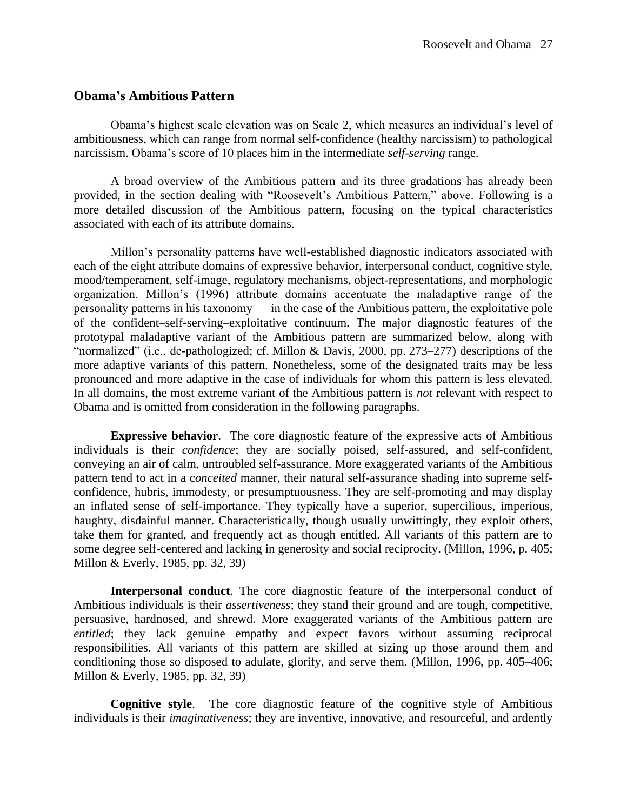#### **Obama's Ambitious Pattern**

Obama's highest scale elevation was on Scale 2, which measures an individual's level of ambitiousness, which can range from normal self-confidence (healthy narcissism) to pathological narcissism. Obama's score of 10 places him in the intermediate *self-serving* range.

A broad overview of the Ambitious pattern and its three gradations has already been provided, in the section dealing with "Roosevelt's Ambitious Pattern," above. Following is a more detailed discussion of the Ambitious pattern, focusing on the typical characteristics associated with each of its attribute domains.

Millon's personality patterns have well-established diagnostic indicators associated with each of the eight attribute domains of expressive behavior, interpersonal conduct, cognitive style, mood/temperament, self-image, regulatory mechanisms, object-representations, and morphologic organization. Millon's (1996) attribute domains accentuate the maladaptive range of the personality patterns in his taxonomy — in the case of the Ambitious pattern, the exploitative pole of the confident–self-serving–exploitative continuum. The major diagnostic features of the prototypal maladaptive variant of the Ambitious pattern are summarized below, along with "normalized" (i.e., de-pathologized; cf. Millon & Davis, 2000, pp. 273–277) descriptions of the more adaptive variants of this pattern. Nonetheless, some of the designated traits may be less pronounced and more adaptive in the case of individuals for whom this pattern is less elevated. In all domains, the most extreme variant of the Ambitious pattern is *not* relevant with respect to Obama and is omitted from consideration in the following paragraphs.

**Expressive behavior**. The core diagnostic feature of the expressive acts of Ambitious individuals is their *confidence*; they are socially poised, self-assured, and self-confident, conveying an air of calm, untroubled self-assurance. More exaggerated variants of the Ambitious pattern tend to act in a c*onceited* manner, their natural self-assurance shading into supreme selfconfidence, hubris, immodesty, or presumptuousness. They are self-promoting and may display an inflated sense of self-importance. They typically have a superior, supercilious, imperious, haughty, disdainful manner. Characteristically, though usually unwittingly, they exploit others, take them for granted, and frequently act as though entitled. All variants of this pattern are to some degree self-centered and lacking in generosity and social reciprocity. (Millon, 1996, p. 405; Millon & Everly, 1985, pp. 32, 39)

**Interpersonal conduct**. The core diagnostic feature of the interpersonal conduct of Ambitious individuals is their *assertiveness*; they stand their ground and are tough, competitive, persuasive, hardnosed, and shrewd. More exaggerated variants of the Ambitious pattern are *entitled*; they lack genuine empathy and expect favors without assuming reciprocal responsibilities. All variants of this pattern are skilled at sizing up those around them and conditioning those so disposed to adulate, glorify, and serve them. (Millon, 1996, pp. 405–406; Millon & Everly, 1985, pp. 32, 39)

**Cognitive style**. The core diagnostic feature of the cognitive style of Ambitious individuals is their *imaginativeness*; they are inventive, innovative, and resourceful, and ardently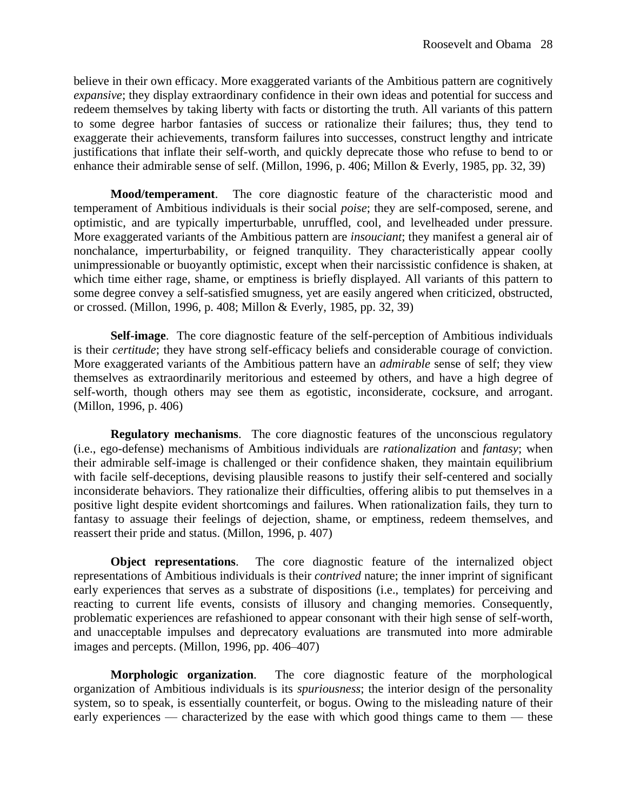believe in their own efficacy. More exaggerated variants of the Ambitious pattern are cognitively *expansive*; they display extraordinary confidence in their own ideas and potential for success and redeem themselves by taking liberty with facts or distorting the truth. All variants of this pattern to some degree harbor fantasies of success or rationalize their failures; thus, they tend to exaggerate their achievements, transform failures into successes, construct lengthy and intricate justifications that inflate their self-worth, and quickly deprecate those who refuse to bend to or enhance their admirable sense of self. (Millon, 1996, p. 406; Millon & Everly, 1985, pp. 32, 39)

**Mood/temperament**. The core diagnostic feature of the characteristic mood and temperament of Ambitious individuals is their social *poise*; they are self-composed, serene, and optimistic, and are typically imperturbable, unruffled, cool, and levelheaded under pressure. More exaggerated variants of the Ambitious pattern are *insouciant*; they manifest a general air of nonchalance, imperturbability, or feigned tranquility. They characteristically appear coolly unimpressionable or buoyantly optimistic, except when their narcissistic confidence is shaken, at which time either rage, shame, or emptiness is briefly displayed. All variants of this pattern to some degree convey a self-satisfied smugness, yet are easily angered when criticized, obstructed, or crossed. (Millon, 1996, p. 408; Millon & Everly, 1985, pp. 32, 39)

**Self-image**. The core diagnostic feature of the self-perception of Ambitious individuals is their *certitude*; they have strong self-efficacy beliefs and considerable courage of conviction. More exaggerated variants of the Ambitious pattern have an *admirable* sense of self; they view themselves as extraordinarily meritorious and esteemed by others, and have a high degree of self-worth, though others may see them as egotistic, inconsiderate, cocksure, and arrogant. (Millon, 1996, p. 406)

**Regulatory mechanisms**. The core diagnostic features of the unconscious regulatory (i.e., ego-defense) mechanisms of Ambitious individuals are *rationalization* and *fantasy*; when their admirable self-image is challenged or their confidence shaken, they maintain equilibrium with facile self-deceptions, devising plausible reasons to justify their self-centered and socially inconsiderate behaviors. They rationalize their difficulties, offering alibis to put themselves in a positive light despite evident shortcomings and failures. When rationalization fails, they turn to fantasy to assuage their feelings of dejection, shame, or emptiness, redeem themselves, and reassert their pride and status. (Millon, 1996, p. 407)

**Object representations**. The core diagnostic feature of the internalized object representations of Ambitious individuals is their *contrived* nature; the inner imprint of significant early experiences that serves as a substrate of dispositions (i.e., templates) for perceiving and reacting to current life events, consists of illusory and changing memories. Consequently, problematic experiences are refashioned to appear consonant with their high sense of self-worth, and unacceptable impulses and deprecatory evaluations are transmuted into more admirable images and percepts. (Millon, 1996, pp. 406–407)

**Morphologic organization**. The core diagnostic feature of the morphological organization of Ambitious individuals is its *spuriousness*; the interior design of the personality system, so to speak, is essentially counterfeit, or bogus. Owing to the misleading nature of their early experiences — characterized by the ease with which good things came to them — these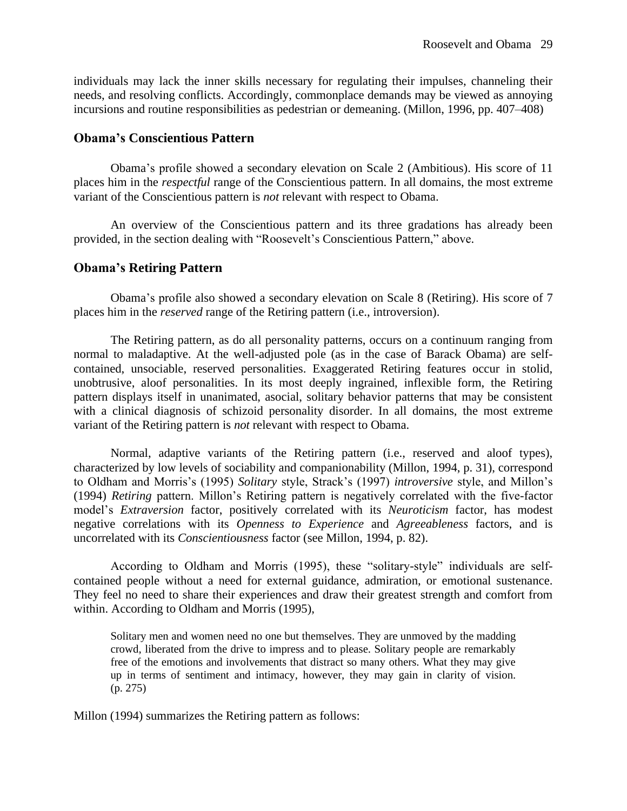individuals may lack the inner skills necessary for regulating their impulses, channeling their needs, and resolving conflicts. Accordingly, commonplace demands may be viewed as annoying incursions and routine responsibilities as pedestrian or demeaning. (Millon, 1996, pp. 407–408)

## **Obama's Conscientious Pattern**

Obama's profile showed a secondary elevation on Scale 2 (Ambitious). His score of 11 places him in the *respectful* range of the Conscientious pattern. In all domains, the most extreme variant of the Conscientious pattern is *not* relevant with respect to Obama.

An overview of the Conscientious pattern and its three gradations has already been provided, in the section dealing with "Roosevelt's Conscientious Pattern," above.

## **Obama's Retiring Pattern**

Obama's profile also showed a secondary elevation on Scale 8 (Retiring). His score of 7 places him in the *reserved* range of the Retiring pattern (i.e., introversion).

The Retiring pattern, as do all personality patterns, occurs on a continuum ranging from normal to maladaptive. At the well-adjusted pole (as in the case of Barack Obama) are selfcontained, unsociable, reserved personalities. Exaggerated Retiring features occur in stolid, unobtrusive, aloof personalities. In its most deeply ingrained, inflexible form, the Retiring pattern displays itself in unanimated, asocial, solitary behavior patterns that may be consistent with a clinical diagnosis of schizoid personality disorder. In all domains, the most extreme variant of the Retiring pattern is *not* relevant with respect to Obama.

Normal, adaptive variants of the Retiring pattern (i.e., reserved and aloof types), characterized by low levels of sociability and companionability (Millon, 1994, p. 31), correspond to Oldham and Morris's (1995) *Solitary* style, Strack's (1997) *introversive* style, and Millon's (1994) *Retiring* pattern. Millon's Retiring pattern is negatively correlated with the five-factor model's *Extraversion* factor, positively correlated with its *Neuroticism* factor, has modest negative correlations with its *Openness to Experience* and *Agreeableness* factors, and is uncorrelated with its *Conscientiousness* factor (see Millon, 1994, p. 82).

According to Oldham and Morris (1995), these "solitary-style" individuals are selfcontained people without a need for external guidance, admiration, or emotional sustenance. They feel no need to share their experiences and draw their greatest strength and comfort from within. According to Oldham and Morris (1995),

Solitary men and women need no one but themselves. They are unmoved by the madding crowd, liberated from the drive to impress and to please. Solitary people are remarkably free of the emotions and involvements that distract so many others. What they may give up in terms of sentiment and intimacy, however, they may gain in clarity of vision. (p. 275)

Millon (1994) summarizes the Retiring pattern as follows: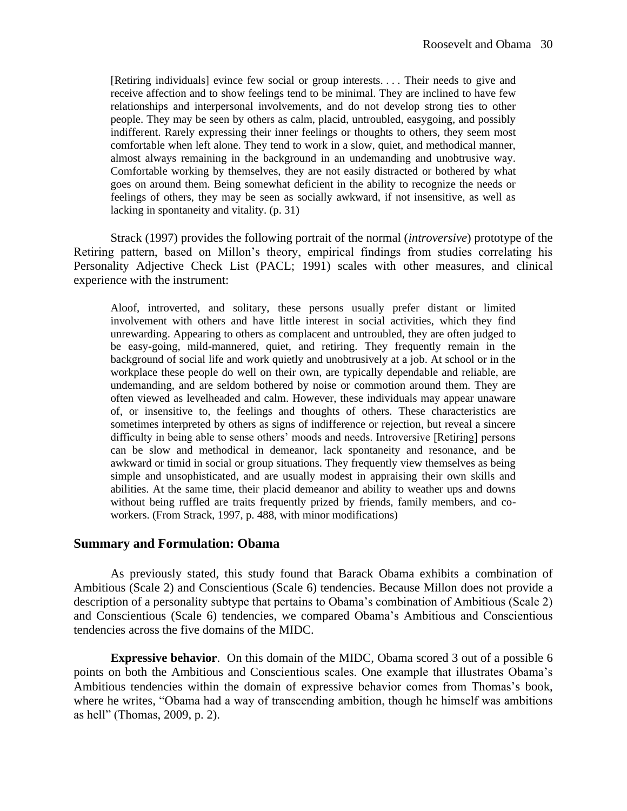[Retiring individuals] evince few social or group interests. . . . Their needs to give and receive affection and to show feelings tend to be minimal. They are inclined to have few relationships and interpersonal involvements, and do not develop strong ties to other people. They may be seen by others as calm, placid, untroubled, easygoing, and possibly indifferent. Rarely expressing their inner feelings or thoughts to others, they seem most comfortable when left alone. They tend to work in a slow, quiet, and methodical manner, almost always remaining in the background in an undemanding and unobtrusive way. Comfortable working by themselves, they are not easily distracted or bothered by what goes on around them. Being somewhat deficient in the ability to recognize the needs or feelings of others, they may be seen as socially awkward, if not insensitive, as well as lacking in spontaneity and vitality. (p. 31)

Strack (1997) provides the following portrait of the normal (*introversive*) prototype of the Retiring pattern, based on Millon's theory, empirical findings from studies correlating his Personality Adjective Check List (PACL; 1991) scales with other measures, and clinical experience with the instrument:

Aloof, introverted, and solitary, these persons usually prefer distant or limited involvement with others and have little interest in social activities, which they find unrewarding. Appearing to others as complacent and untroubled, they are often judged to be easy-going, mild-mannered, quiet, and retiring. They frequently remain in the background of social life and work quietly and unobtrusively at a job. At school or in the workplace these people do well on their own, are typically dependable and reliable, are undemanding, and are seldom bothered by noise or commotion around them. They are often viewed as levelheaded and calm. However, these individuals may appear unaware of, or insensitive to, the feelings and thoughts of others. These characteristics are sometimes interpreted by others as signs of indifference or rejection, but reveal a sincere difficulty in being able to sense others' moods and needs. Introversive [Retiring] persons can be slow and methodical in demeanor, lack spontaneity and resonance, and be awkward or timid in social or group situations. They frequently view themselves as being simple and unsophisticated, and are usually modest in appraising their own skills and abilities. At the same time, their placid demeanor and ability to weather ups and downs without being ruffled are traits frequently prized by friends, family members, and coworkers. (From Strack, 1997, p. 488, with minor modifications)

#### **Summary and Formulation: Obama**

As previously stated, this study found that Barack Obama exhibits a combination of Ambitious (Scale 2) and Conscientious (Scale 6) tendencies. Because Millon does not provide a description of a personality subtype that pertains to Obama's combination of Ambitious (Scale 2) and Conscientious (Scale 6) tendencies, we compared Obama's Ambitious and Conscientious tendencies across the five domains of the MIDC.

**Expressive behavior**. On this domain of the MIDC, Obama scored 3 out of a possible 6 points on both the Ambitious and Conscientious scales. One example that illustrates Obama's Ambitious tendencies within the domain of expressive behavior comes from Thomas's book, where he writes, "Obama had a way of transcending ambition, though he himself was ambitions as hell" (Thomas, 2009, p. 2).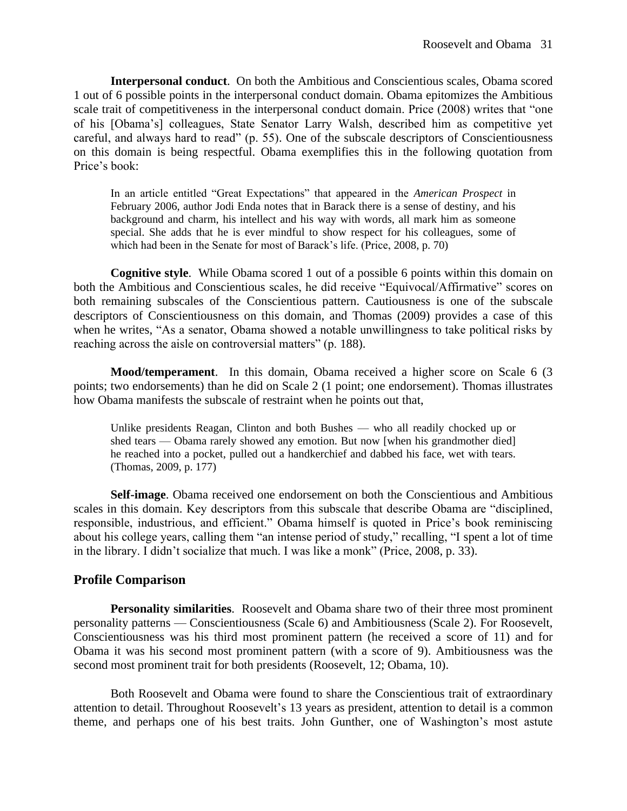**Interpersonal conduct**. On both the Ambitious and Conscientious scales, Obama scored 1 out of 6 possible points in the interpersonal conduct domain. Obama epitomizes the Ambitious scale trait of competitiveness in the interpersonal conduct domain. Price (2008) writes that "one of his [Obama's] colleagues, State Senator Larry Walsh, described him as competitive yet careful, and always hard to read" (p. 55). One of the subscale descriptors of Conscientiousness on this domain is being respectful. Obama exemplifies this in the following quotation from Price's book:

In an article entitled "Great Expectations" that appeared in the *American Prospect* in February 2006, author Jodi Enda notes that in Barack there is a sense of destiny, and his background and charm, his intellect and his way with words, all mark him as someone special. She adds that he is ever mindful to show respect for his colleagues, some of which had been in the Senate for most of Barack's life. (Price, 2008, p. 70)

**Cognitive style**. While Obama scored 1 out of a possible 6 points within this domain on both the Ambitious and Conscientious scales, he did receive "Equivocal/Affirmative" scores on both remaining subscales of the Conscientious pattern. Cautiousness is one of the subscale descriptors of Conscientiousness on this domain, and Thomas (2009) provides a case of this when he writes, "As a senator, Obama showed a notable unwillingness to take political risks by reaching across the aisle on controversial matters" (p. 188).

**Mood/temperament**. In this domain, Obama received a higher score on Scale 6 (3 points; two endorsements) than he did on Scale 2 (1 point; one endorsement). Thomas illustrates how Obama manifests the subscale of restraint when he points out that,

Unlike presidents Reagan, Clinton and both Bushes — who all readily chocked up or shed tears — Obama rarely showed any emotion. But now [when his grandmother died] he reached into a pocket, pulled out a handkerchief and dabbed his face, wet with tears. (Thomas, 2009, p. 177)

**Self-image**. Obama received one endorsement on both the Conscientious and Ambitious scales in this domain. Key descriptors from this subscale that describe Obama are "disciplined, responsible, industrious, and efficient." Obama himself is quoted in Price's book reminiscing about his college years, calling them "an intense period of study," recalling, "I spent a lot of time in the library. I didn't socialize that much. I was like a monk" (Price, 2008, p. 33).

#### **Profile Comparison**

**Personality similarities**. Roosevelt and Obama share two of their three most prominent personality patterns — Conscientiousness (Scale 6) and Ambitiousness (Scale 2). For Roosevelt, Conscientiousness was his third most prominent pattern (he received a score of 11) and for Obama it was his second most prominent pattern (with a score of 9). Ambitiousness was the second most prominent trait for both presidents (Roosevelt, 12; Obama, 10).

Both Roosevelt and Obama were found to share the Conscientious trait of extraordinary attention to detail. Throughout Roosevelt's 13 years as president, attention to detail is a common theme, and perhaps one of his best traits. John Gunther, one of Washington's most astute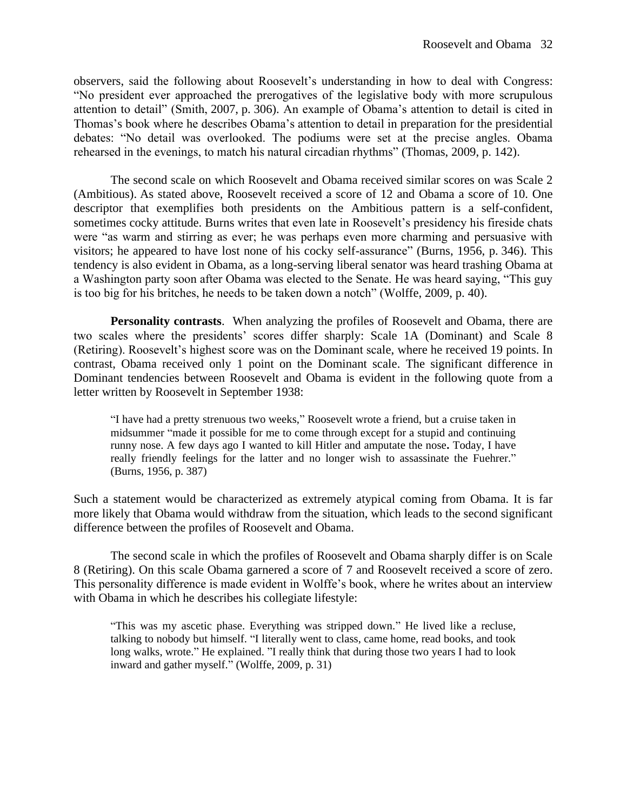observers, said the following about Roosevelt's understanding in how to deal with Congress: "No president ever approached the prerogatives of the legislative body with more scrupulous attention to detail" (Smith, 2007, p. 306). An example of Obama's attention to detail is cited in Thomas's book where he describes Obama's attention to detail in preparation for the presidential debates: "No detail was overlooked. The podiums were set at the precise angles. Obama rehearsed in the evenings, to match his natural circadian rhythms" (Thomas, 2009, p. 142).

The second scale on which Roosevelt and Obama received similar scores on was Scale 2 (Ambitious). As stated above, Roosevelt received a score of 12 and Obama a score of 10. One descriptor that exemplifies both presidents on the Ambitious pattern is a self-confident, sometimes cocky attitude. Burns writes that even late in Roosevelt's presidency his fireside chats were "as warm and stirring as ever; he was perhaps even more charming and persuasive with visitors; he appeared to have lost none of his cocky self-assurance" (Burns, 1956, p. 346). This tendency is also evident in Obama, as a long-serving liberal senator was heard trashing Obama at a Washington party soon after Obama was elected to the Senate. He was heard saying, "This guy is too big for his britches, he needs to be taken down a notch" (Wolffe, 2009, p. 40).

**Personality contrasts**. When analyzing the profiles of Roosevelt and Obama, there are two scales where the presidents' scores differ sharply: Scale 1A (Dominant) and Scale 8 (Retiring). Roosevelt's highest score was on the Dominant scale, where he received 19 points. In contrast, Obama received only 1 point on the Dominant scale. The significant difference in Dominant tendencies between Roosevelt and Obama is evident in the following quote from a letter written by Roosevelt in September 1938:

"I have had a pretty strenuous two weeks," Roosevelt wrote a friend, but a cruise taken in midsummer "made it possible for me to come through except for a stupid and continuing runny nose. A few days ago I wanted to kill Hitler and amputate the nose**.** Today, I have really friendly feelings for the latter and no longer wish to assassinate the Fuehrer." (Burns, 1956, p. 387)

Such a statement would be characterized as extremely atypical coming from Obama. It is far more likely that Obama would withdraw from the situation, which leads to the second significant difference between the profiles of Roosevelt and Obama.

The second scale in which the profiles of Roosevelt and Obama sharply differ is on Scale 8 (Retiring). On this scale Obama garnered a score of 7 and Roosevelt received a score of zero. This personality difference is made evident in Wolffe's book, where he writes about an interview with Obama in which he describes his collegiate lifestyle:

"This was my ascetic phase. Everything was stripped down." He lived like a recluse, talking to nobody but himself. "I literally went to class, came home, read books, and took long walks, wrote." He explained. "I really think that during those two years I had to look inward and gather myself." (Wolffe, 2009, p. 31)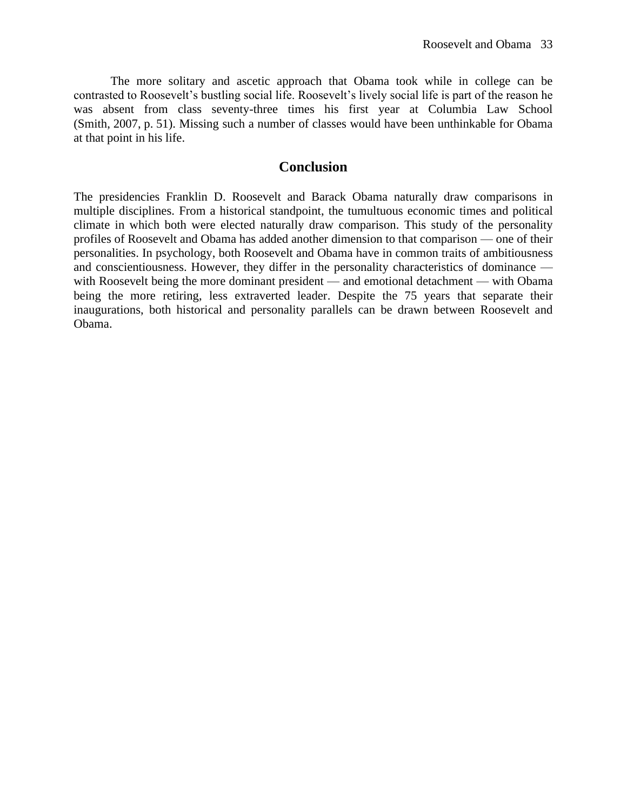The more solitary and ascetic approach that Obama took while in college can be contrasted to Roosevelt's bustling social life. Roosevelt's lively social life is part of the reason he was absent from class seventy-three times his first year at Columbia Law School (Smith, 2007, p. 51). Missing such a number of classes would have been unthinkable for Obama at that point in his life.

## **Conclusion**

The presidencies Franklin D. Roosevelt and Barack Obama naturally draw comparisons in multiple disciplines. From a historical standpoint, the tumultuous economic times and political climate in which both were elected naturally draw comparison. This study of the personality profiles of Roosevelt and Obama has added another dimension to that comparison — one of their personalities. In psychology, both Roosevelt and Obama have in common traits of ambitiousness and conscientiousness. However, they differ in the personality characteristics of dominance with Roosevelt being the more dominant president — and emotional detachment — with Obama being the more retiring, less extraverted leader. Despite the 75 years that separate their inaugurations, both historical and personality parallels can be drawn between Roosevelt and Obama.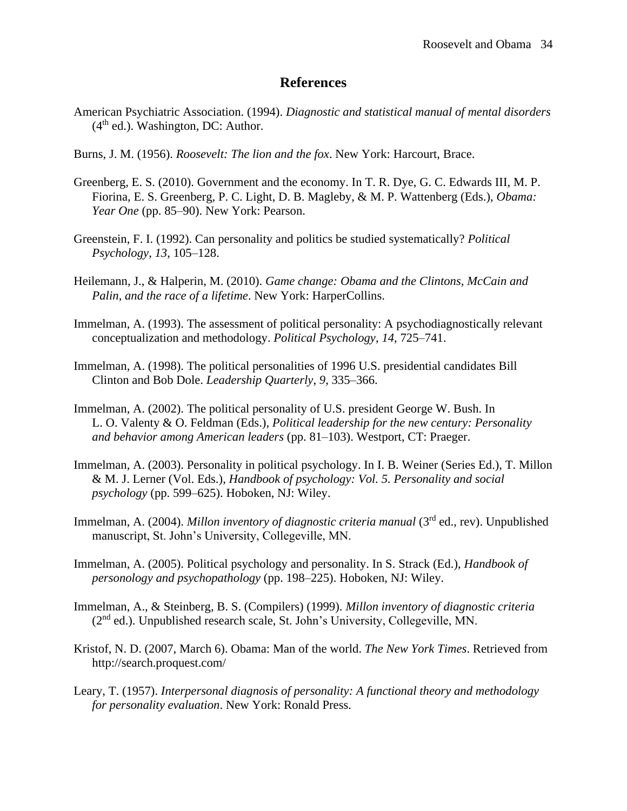## **References**

- American Psychiatric Association. (1994). *Diagnostic and statistical manual of mental disorders*  $(4<sup>th</sup>$  ed.). Washington, DC: Author.
- Burns, J. M. (1956). *Roosevelt: The lion and the fox*. New York: Harcourt, Brace.
- Greenberg, E. S. (2010). Government and the economy. In T. R. Dye, G. C. Edwards III, M. P. Fiorina, E. S. Greenberg, P. C. Light, D. B. Magleby, & M. P. Wattenberg (Eds.), *Obama: Year One* (pp. 85–90). New York: Pearson.
- Greenstein, F. I. (1992). Can personality and politics be studied systematically? *Political Psychology*, *13*, 105–128.
- Heilemann, J., & Halperin, M. (2010). *Game change: Obama and the Clintons, McCain and Palin, and the race of a lifetime*. New York: HarperCollins.
- Immelman, A. (1993). The assessment of political personality: A psychodiagnostically relevant conceptualization and methodology. *Political Psychology*, *14*, 725–741.
- Immelman, A. (1998). The political personalities of 1996 U.S. presidential candidates Bill Clinton and Bob Dole. *Leadership Quarterly*, *9*, 335–366.
- Immelman, A. (2002). The political personality of U.S. president George W. Bush. In L. O. Valenty & O. Feldman (Eds.), *Political leadership for the new century: Personality and behavior among American leaders* (pp. 81–103). Westport, CT: Praeger.
- Immelman, A. (2003). Personality in political psychology. In I. B. Weiner (Series Ed.), T. Millon & M. J. Lerner (Vol. Eds.), *Handbook of psychology: Vol. 5. Personality and social psychology* (pp. 599–625). Hoboken, NJ: Wiley.
- Immelman, A. (2004). *Millon inventory of diagnostic criteria manual* (3rd ed., rev). Unpublished manuscript, St. John's University, Collegeville, MN.
- Immelman, A. (2005). Political psychology and personality. In S. Strack (Ed.), *Handbook of personology and psychopathology* (pp. 198–225). Hoboken, NJ: Wiley.
- Immelman, A., & Steinberg, B. S. (Compilers) (1999). *Millon inventory of diagnostic criteria*  ( $2<sup>nd</sup>$  ed.). Unpublished research scale, St. John's University, Collegeville, MN.
- Kristof, N. D. (2007, March 6). Obama: Man of the world. *The New York Times*. Retrieved from http://search.proquest.com/
- Leary, T. (1957). *Interpersonal diagnosis of personality: A functional theory and methodology for personality evaluation*. New York: Ronald Press.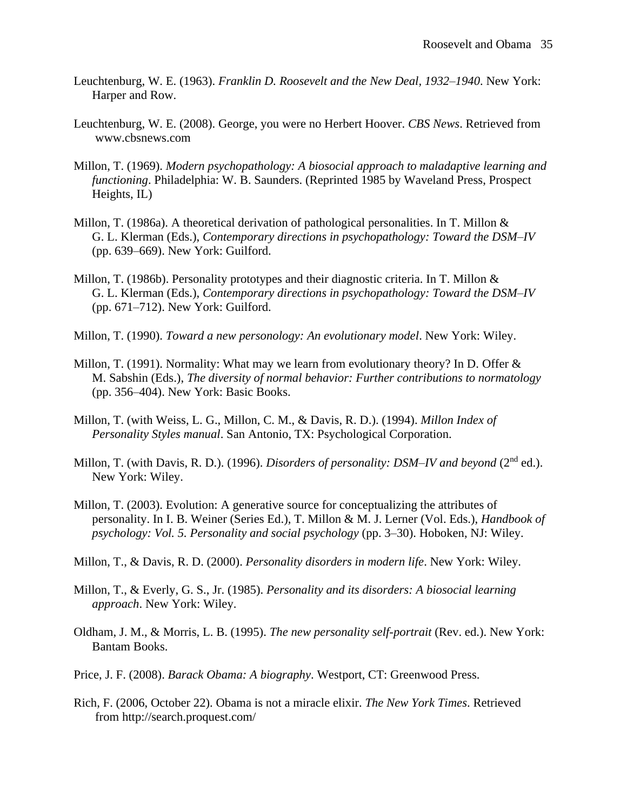- Leuchtenburg, W. E. (1963). *Franklin D. Roosevelt and the New Deal, 1932–1940*. New York: Harper and Row.
- Leuchtenburg, W. E. (2008). George, you were no Herbert Hoover. *CBS News*. Retrieved from www.cbsnews.com
- Millon, T. (1969). *Modern psychopathology: A biosocial approach to maladaptive learning and functioning*. Philadelphia: W. B. Saunders. (Reprinted 1985 by Waveland Press, Prospect Heights, IL)
- Millon, T. (1986a). A theoretical derivation of pathological personalities. In T. Millon & G. L. Klerman (Eds.), *Contemporary directions in psychopathology: Toward the DSM–IV* (pp. 639–669). New York: Guilford.
- Millon, T. (1986b). Personality prototypes and their diagnostic criteria. In T. Millon  $\&$ G. L. Klerman (Eds.), *Contemporary directions in psychopathology: Toward the DSM–IV* (pp. 671–712). New York: Guilford.
- Millon, T. (1990). *Toward a new personology: An evolutionary model*. New York: Wiley.
- Millon, T. (1991). Normality: What may we learn from evolutionary theory? In D. Offer & M. Sabshin (Eds.), *The diversity of normal behavior: Further contributions to normatology* (pp. 356–404). New York: Basic Books.
- Millon, T. (with Weiss, L. G., Millon, C. M., & Davis, R. D.). (1994). *Millon Index of Personality Styles manual*. San Antonio, TX: Psychological Corporation.
- Millon, T. (with Davis, R. D.). (1996). *Disorders of personality: DSM-IV and beyond* (2<sup>nd</sup> ed.). New York: Wiley.
- Millon, T. (2003). Evolution: A generative source for conceptualizing the attributes of personality. In I. B. Weiner (Series Ed.), T. Millon & M. J. Lerner (Vol. Eds.), *Handbook of psychology: Vol. 5. Personality and social psychology* (pp. 3–30). Hoboken, NJ: Wiley.
- Millon, T., & Davis, R. D. (2000). *Personality disorders in modern life*. New York: Wiley.
- Millon, T., & Everly, G. S., Jr. (1985). *Personality and its disorders: A biosocial learning approach*. New York: Wiley.
- Oldham, J. M., & Morris, L. B. (1995). *The new personality self-portrait* (Rev. ed.). New York: Bantam Books.
- Price, J. F. (2008). *Barack Obama: A biography*. Westport, CT: Greenwood Press.
- Rich, F. (2006, October 22). Obama is not a miracle elixir. *The New York Times*. Retrieved from http://search.proquest.com/